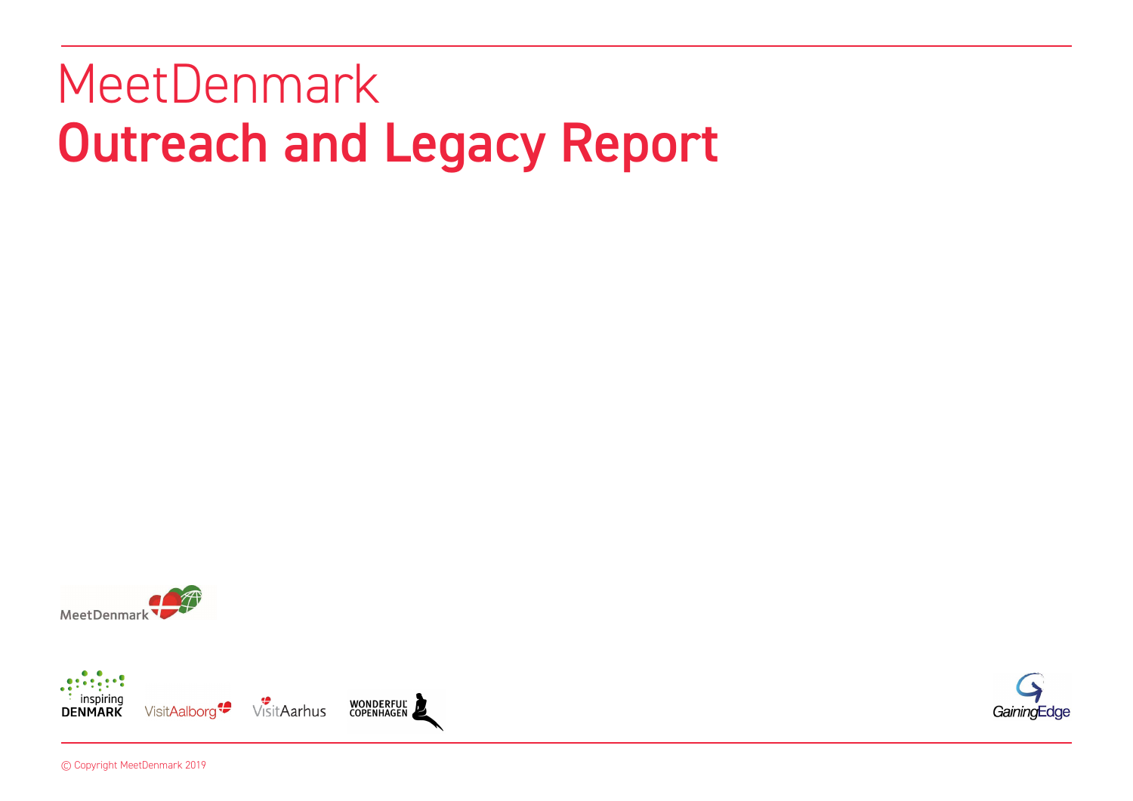# MeetDenmark Outreach and Legacy Report





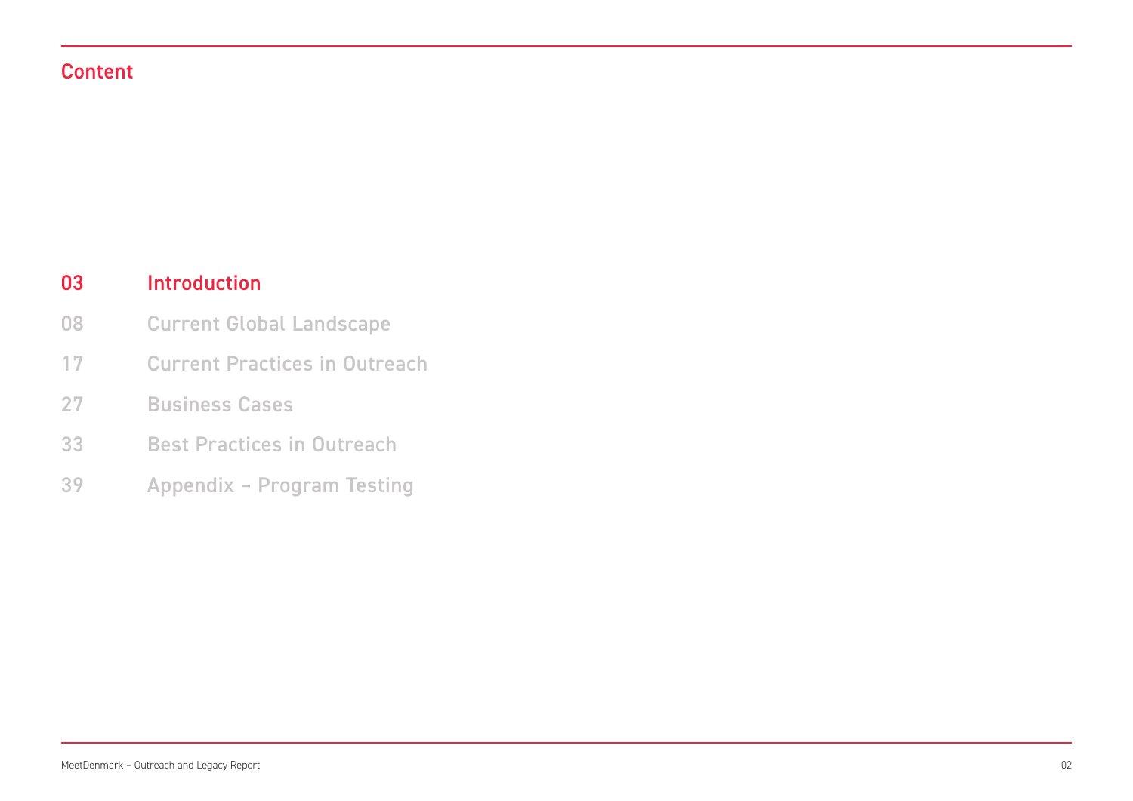### Content

#### Introduction 03

- Current Global Landscape 08
- Current Practices in Outreach 17
- Business Cases 27
- Best Practices in Outreach 33
- Appendix Program Testing 39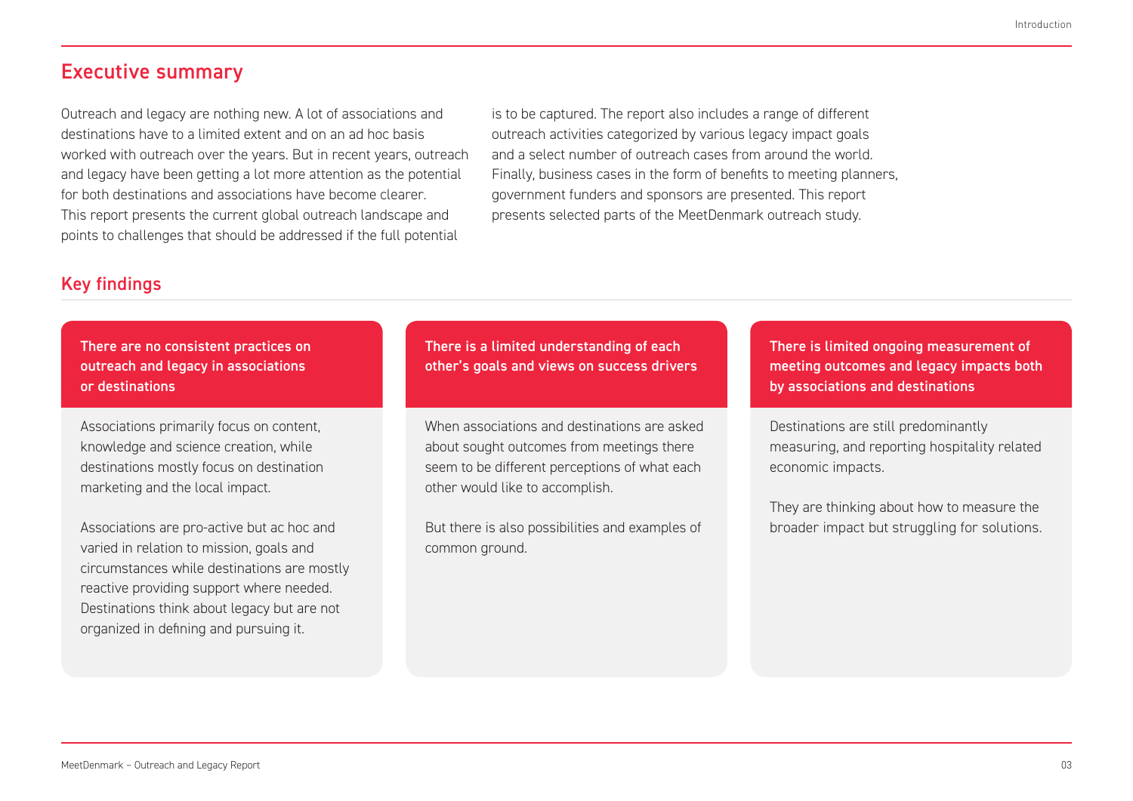### Executive summary

Outreach and legacy are nothing new. A lot of associations and destinations have to a limited extent and on an ad hoc basis worked with outreach over the years. But in recent years, outreach and legacy have been getting a lot more attention as the potential for both destinations and associations have become clearer. This report presents the current global outreach landscape and points to challenges that should be addressed if the full potential

is to be captured. The report also includes a range of different outreach activities categorized by various legacy impact goals and a select number of outreach cases from around the world. Finally, business cases in the form of benefits to meeting planners, government funders and sponsors are presented. This report presents selected parts of the MeetDenmark outreach study.

### Key findings

There are no consistent practices on outreach and legacy in associations or destinations

Associations primarily focus on content, knowledge and science creation, while destinations mostly focus on destination marketing and the local impact.

Associations are pro-active but ac hoc and varied in relation to mission, goals and circumstances while destinations are mostly reactive providing support where needed. Destinations think about legacy but are not organized in defining and pursuing it.

There is a limited understanding of each other's goals and views on success drivers

When associations and destinations are asked about sought outcomes from meetings there seem to be different perceptions of what each other would like to accomplish.

But there is also possibilities and examples of common ground.

There is limited ongoing measurement of meeting outcomes and legacy impacts both by associations and destinations

Destinations are still predominantly measuring, and reporting hospitality related economic impacts.

They are thinking about how to measure the broader impact but struggling for solutions.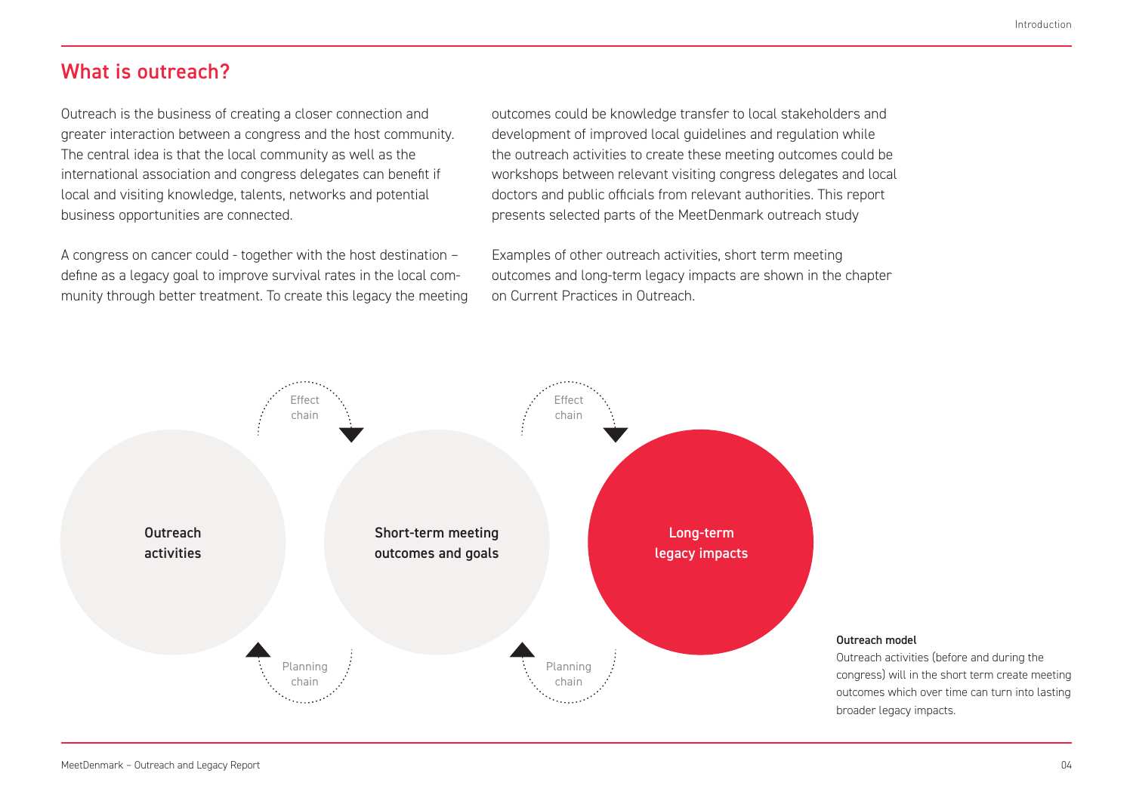### What is outreach?

Outreach is the business of creating a closer connection and greater interaction between a congress and the host community. The central idea is that the local community as well as the international association and congress delegates can benefit if local and visiting knowledge, talents, networks and potential business opportunities are connected.

A congress on cancer could - together with the host destination – define as a legacy goal to improve survival rates in the local community through better treatment. To create this legacy the meeting outcomes could be knowledge transfer to local stakeholders and development of improved local guidelines and regulation while the outreach activities to create these meeting outcomes could be workshops between relevant visiting congress delegates and local doctors and public officials from relevant authorities. This report presents selected parts of the MeetDenmark outreach study

Examples of other outreach activities, short term meeting outcomes and long-term legacy impacts are shown in the chapter on Current Practices in Outreach.

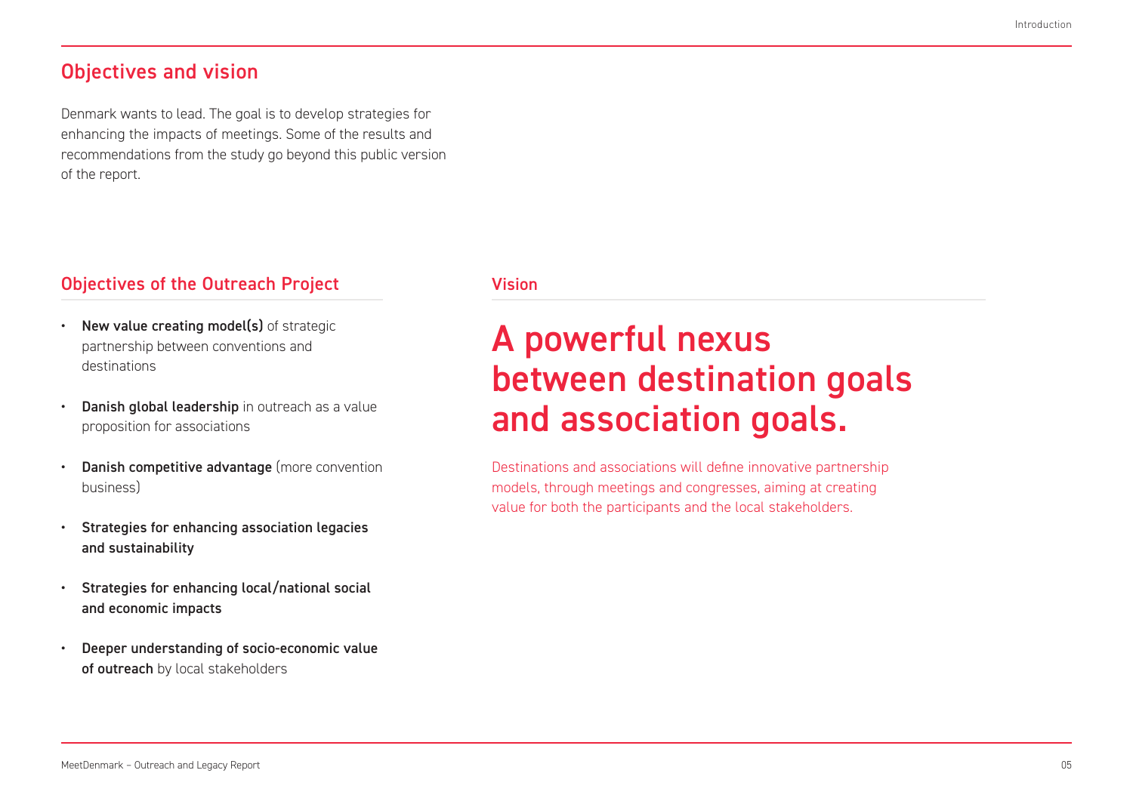### Objectives and vision

Denmark wants to lead. The goal is to develop strategies for enhancing the impacts of meetings. Some of the results and recommendations from the study go beyond this public version of the report.

### Objectives of the Outreach Project Vision

- New value creating model(s) of strategic partnership between conventions and destinations
- Danish global leadership in outreach as a value proposition for associations
- Danish competitive advantage (more convention business)
- Strategies for enhancing association legacies and sustainability
- Strategies for enhancing local/national social and economic impacts
- Deeper understanding of socio-economic value of outreach by local stakeholders

# A powerful nexus between destination goals and association goals.

Destinations and associations will define innovative partnership models, through meetings and congresses, aiming at creating value for both the participants and the local stakeholders.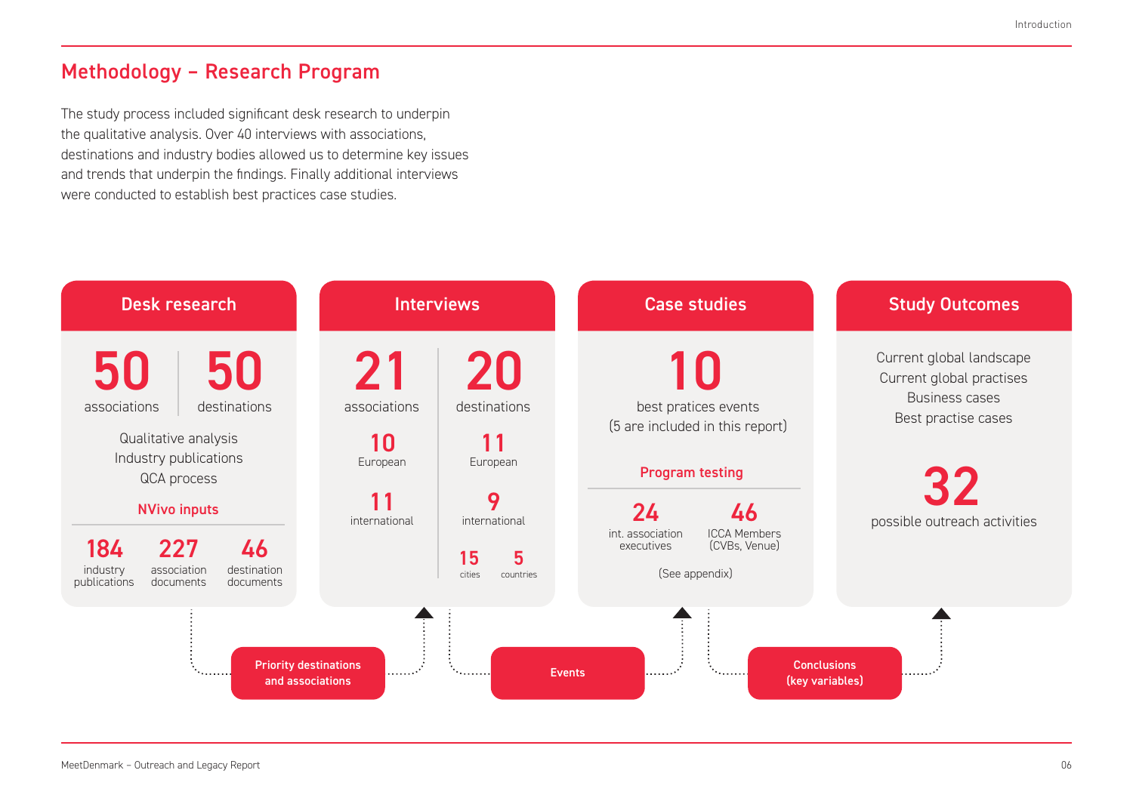### Methodology – Research Program

The study process included significant desk research to underpin the qualitative analysis. Over 40 interviews with associations, destinations and industry bodies allowed us to determine key issues and trends that underpin the findings. Finally additional interviews were conducted to establish best practices case studies.

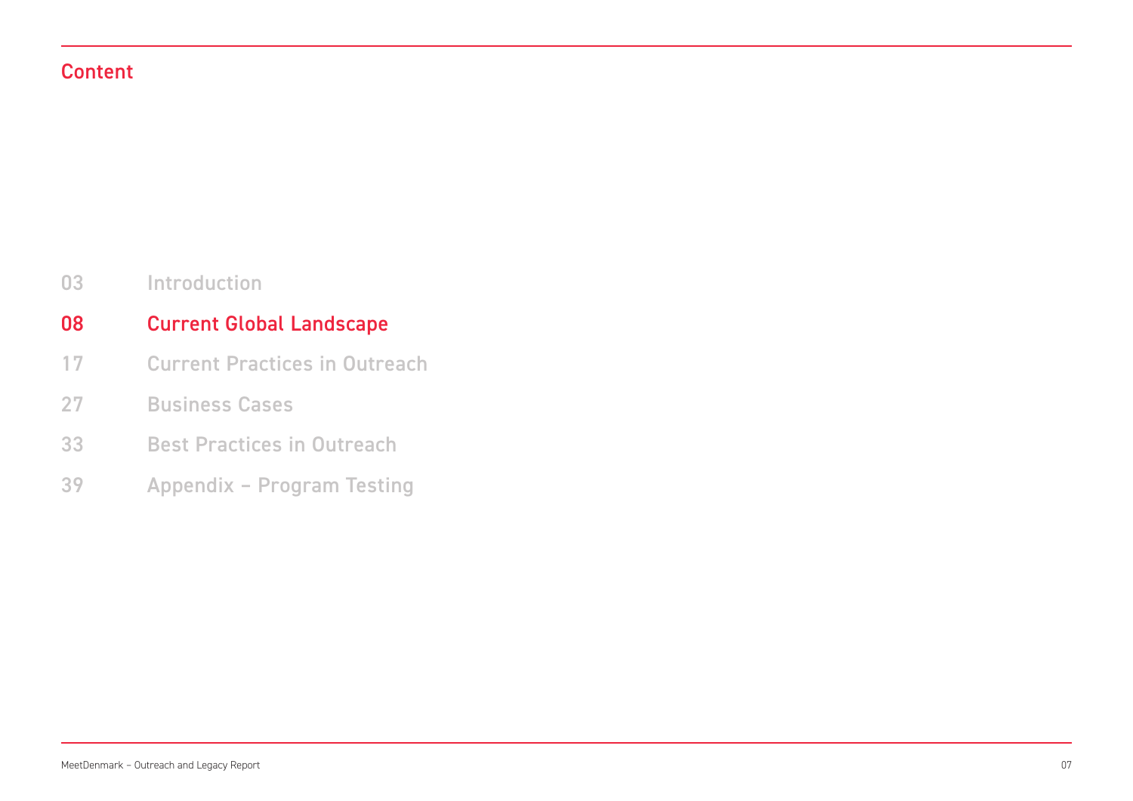### Content

Introduction 03

#### Current Global Landscape 08

- Current Practices in Outreach 17
- Business Cases 27
- Best Practices in Outreach 33
- Appendix Program Testing 39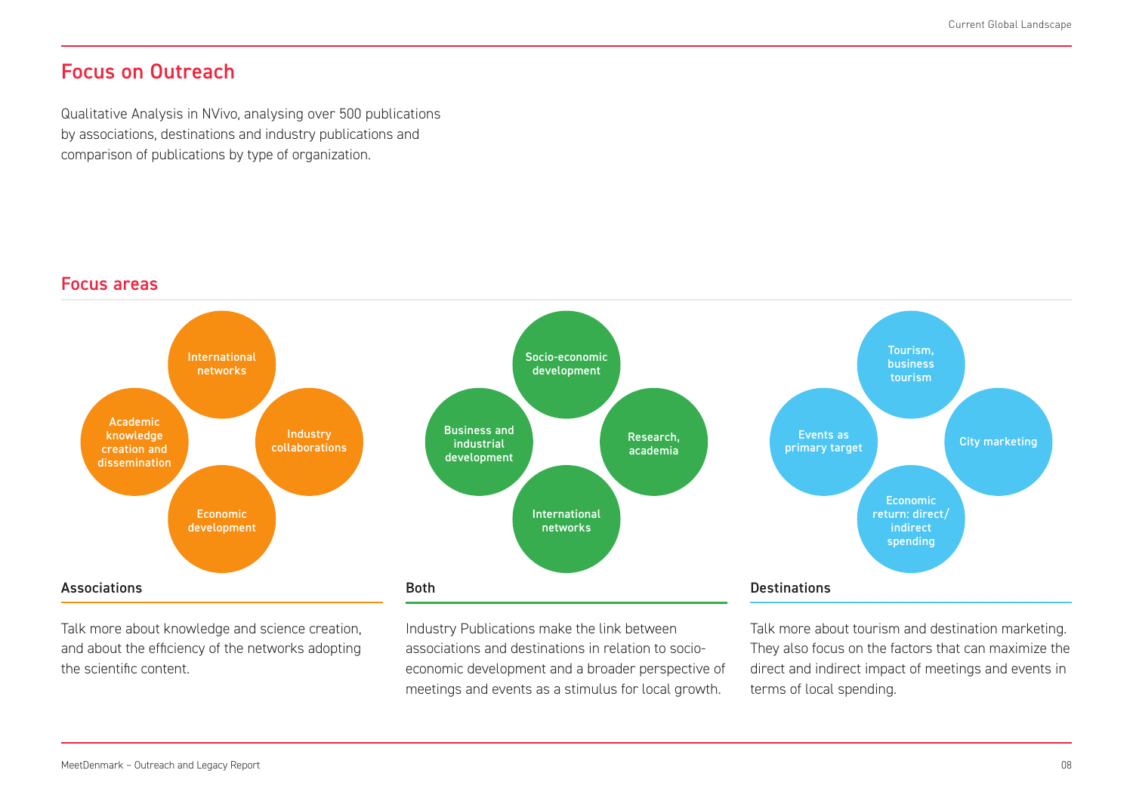### Focus on Outreach

Qualitative Analysis in NVivo, analysing over 500 publications by associations, destinations and industry publications and comparison of publications by type of organization.

### Focus areas



Talk more about knowledge and science creation, and about the efficiency of the networks adopting the scientific content.

Industry Publications make the link between associations and destinations in relation to socioeconomic development and a broader perspective of meetings and events as a stimulus for local growth.

Talk more about tourism and destination marketing. They also focus on the factors that can maximize the direct and indirect impact of meetings and events in terms of local spending.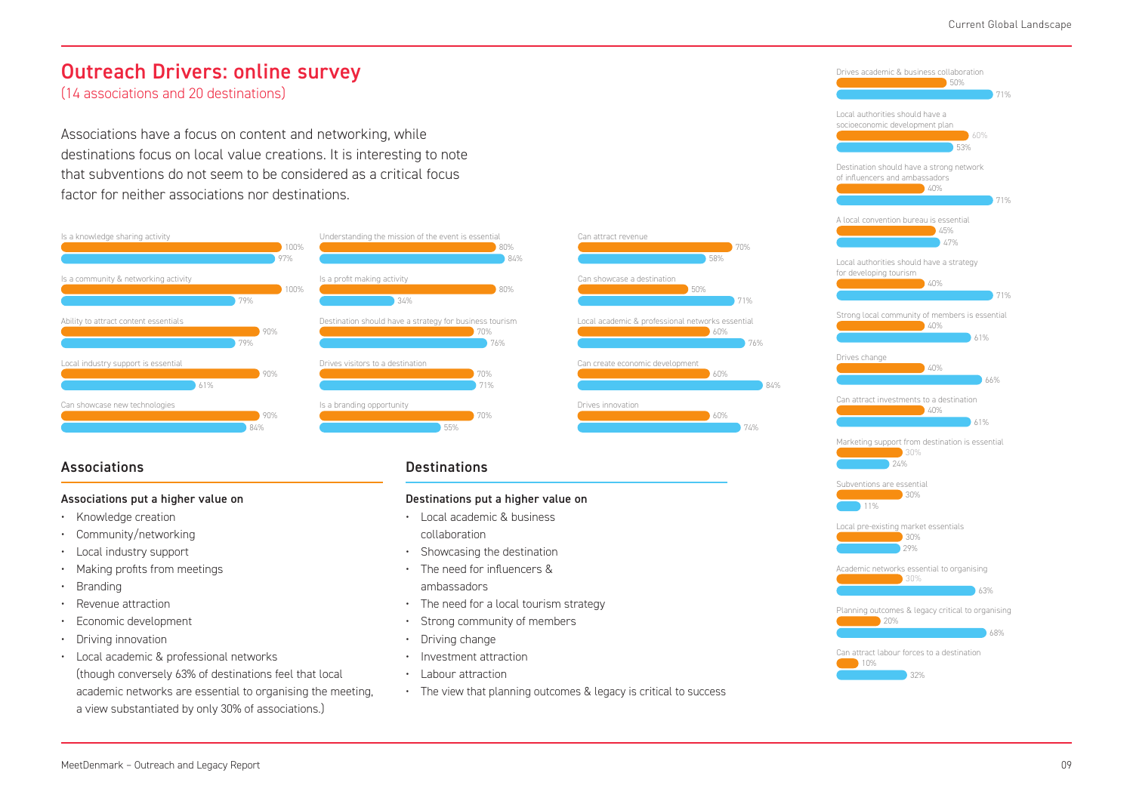### Outreach Drivers: online survey

(14 associations and 20 destinations)

Associations have a focus on content and networking, while destinations focus on local value creations. It is interesting to note that subventions do not seem to be considered as a critical focus factor for neither associations nor destinations.





Understanding the mission of the event is essential



### Associations **Destinations Destinations**

#### Associations put a higher value on

- Knowledge creation
- Community/networking
- Local industry support
- Making profits from meetings
- **Branding**
- Revenue attraction
- Economic development
- Driving innovation
- Local academic & professional networks (though conversely 63% of destinations feel that local academic networks are essential to organising the meeting, a view substantiated by only 30% of associations.)

#### Destinations put a higher value on

- Local academic & business collaboration
- Showcasing the destination
- The need for influencers & ambassadors
- The need for a local tourism strategy
- Strong community of members
- Driving change
- Investment attraction
- Labour attraction
- The view that planning outcomes & legacy is critical to success

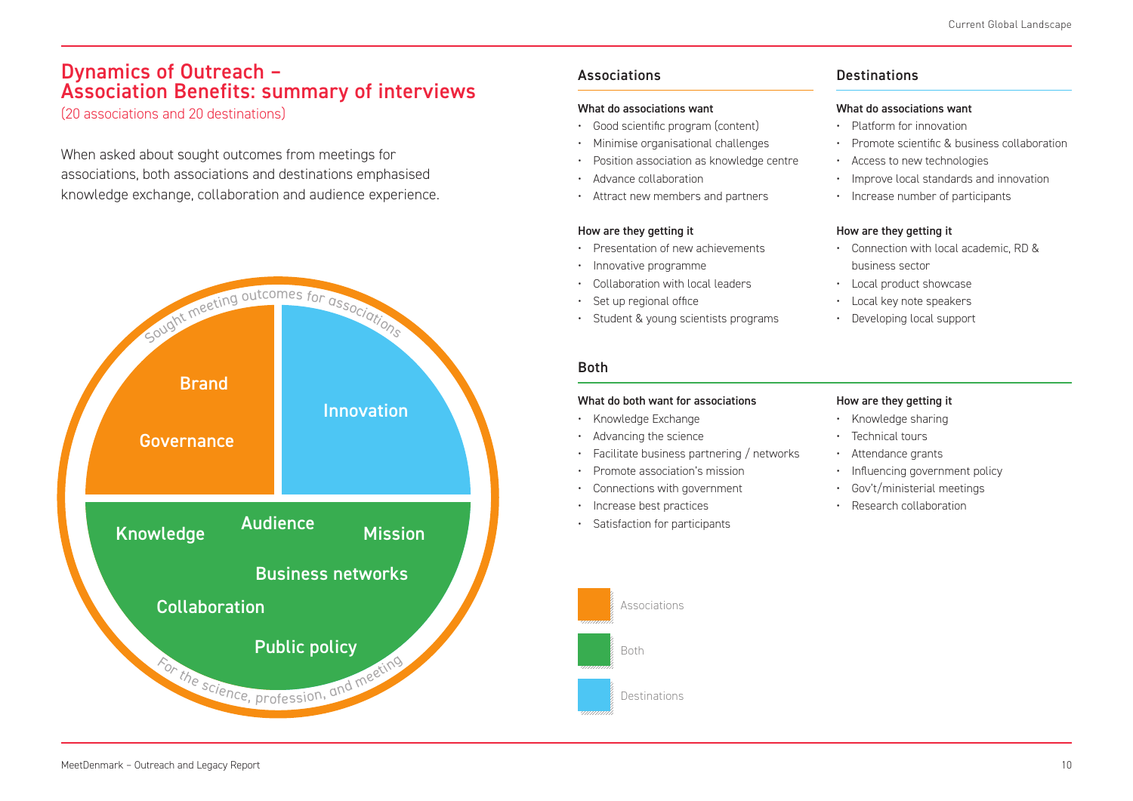### Dynamics of Outreach – Association Benefits: summary of interviews

(20 associations and 20 destinations)

When asked about sought outcomes from meetings for associations, both associations and destinations emphasised knowledge exchange, collaboration and audience experience.



### Associations

#### What do associations want

- Good scientific program (content)
- Minimise organisational challenges
- Position association as knowledge centre
- Advance collaboration
- Attract new members and partners

#### How are they getting it

- Presentation of new achievements
- Innovative programme
- Collaboration with local leaders
- Set up regional office
- Student & young scientists programs

### **Destinations**

#### What do associations want

- Platform for innovation
- Promote scientific & business collaboration
- Access to new technologies
- Improve local standards and innovation
- Increase number of participants

#### How are they getting it

- Connection with local academic, RD & business sector
- Local product showcase
- Local key note speakers
- Developing local support

### Both

#### What do both want for associations

#### • Knowledge Exchange

- Advancing the science
- Facilitate business partnering / networks
- Promote association's mission
- Connections with government
- Increase best practices
- Satisfaction for participants

Associations

Destinations

Both

#### How are they getting it

- Knowledge sharing
- Technical tours
- Attendance grants
- Influencing government policy
- Gov't/ministerial meetings
- Research collaboration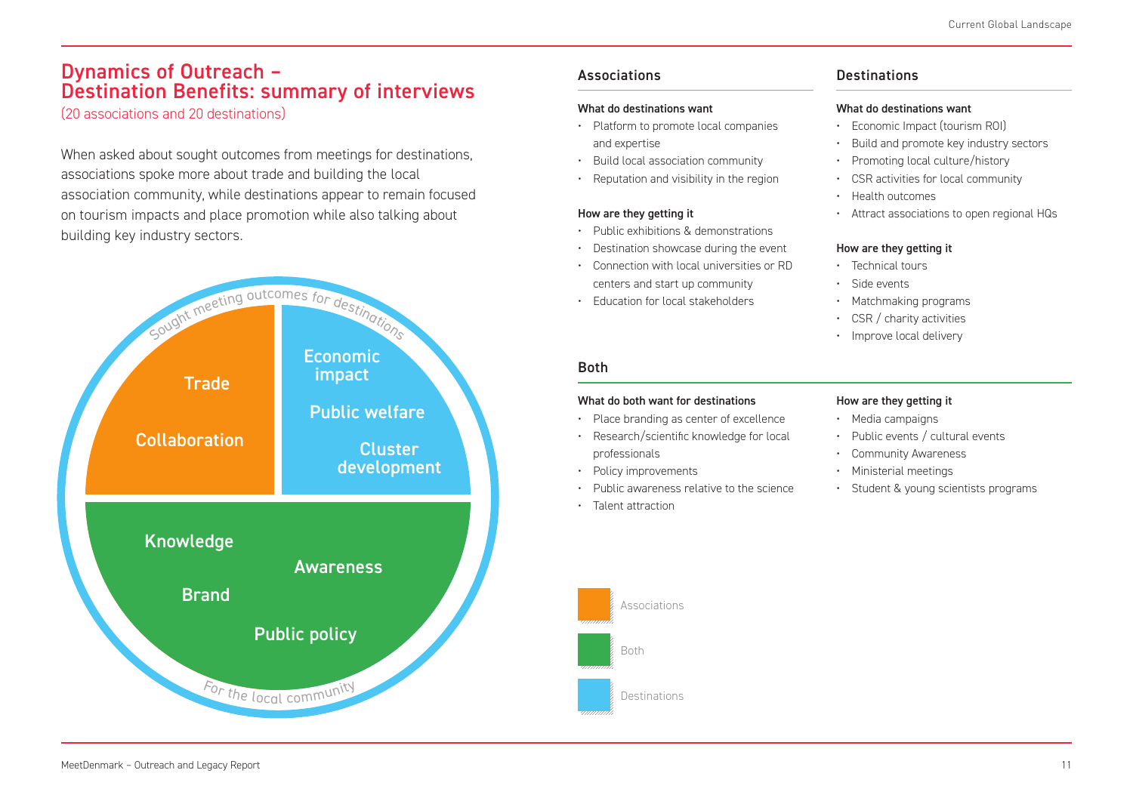### Dynamics of Outreach – Destination Benefits: summary of interviews

(20 associations and 20 destinations)

When asked about sought outcomes from meetings for destinations, associations spoke more about trade and building the local association community, while destinations appear to remain focused on tourism impacts and place promotion while also talking about building key industry sectors.



### Associations

#### What do destinations want

- Platform to promote local companies and expertise
- Build local association community
- Reputation and visibility in the region

#### How are they getting it

- Public exhibitions & demonstrations
- Destination showcase during the event
- Connection with local universities or RD centers and start up community
- Education for local stakeholders

#### Both

#### What do both want for destinations

- Place branding as center of excellence
- Research/scientific knowledge for local professionals
- Policy improvements

Associations

Destinations

Both

- Public awareness relative to the science
- Talent attraction

### **Destinations**

#### What do destinations want

- Economic Impact (tourism ROI)
- Build and promote key industry sectors
- Promoting local culture/history
- CSR activities for local community
- Health outcomes
- Attract associations to open regional HQs

#### How are they getting it

- Technical tours
- Side events
- Matchmaking programs
- CSR / charity activities
- Improve local delivery

#### How are they getting it

- Media campaigns
- Public events / cultural events
- Community Awareness
- Ministerial meetings
- Student & young scientists programs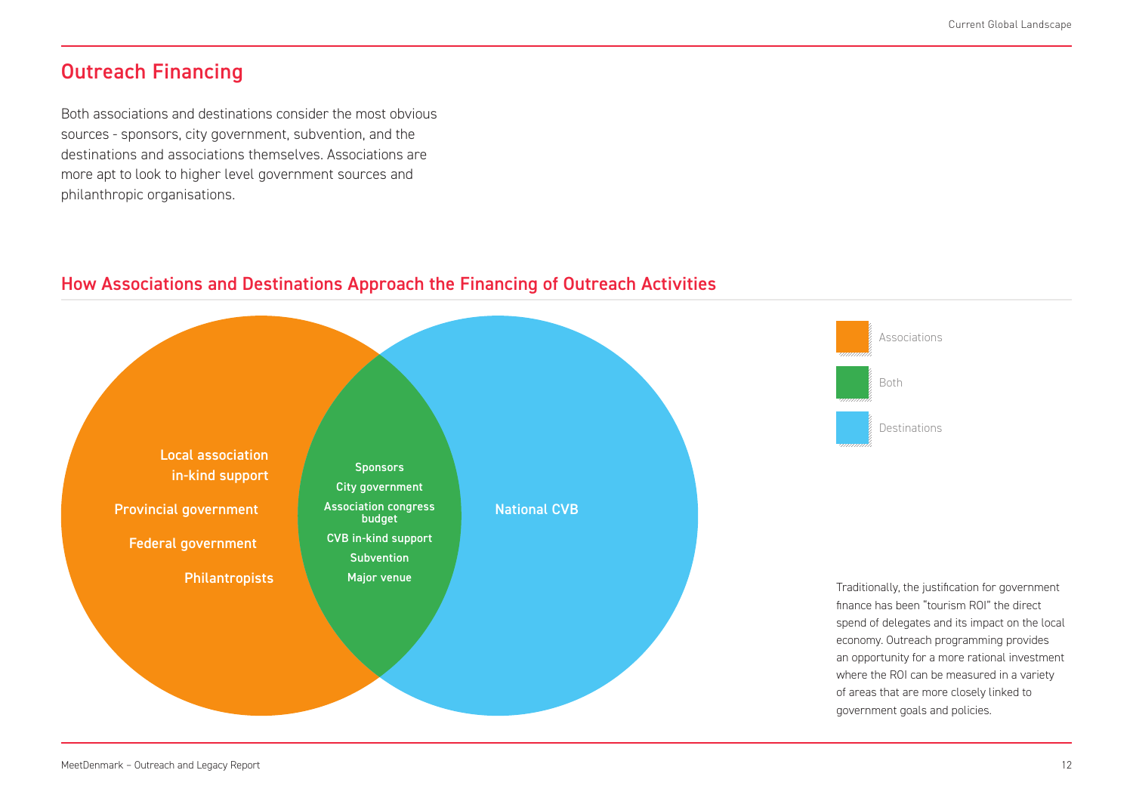### Outreach Financing

Both associations and destinations consider the most obvious sources - sponsors, city government, subvention, and the destinations and associations themselves. Associations are more apt to look to higher level government sources and philanthropic organisations.



### How Associations and Destinations Approach the Financing of Outreach Activities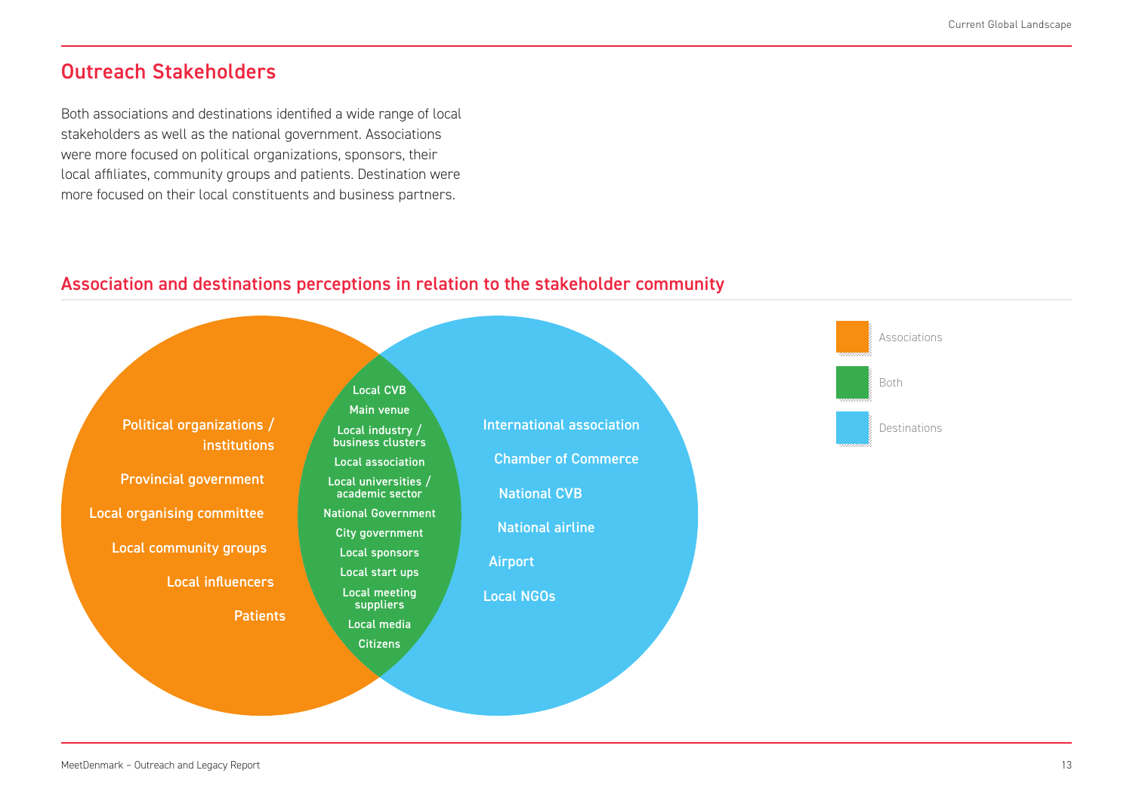### Outreach Stakeholders

Both associations and destinations identified a wide range of local stakeholders as well as the national government. Associations were more focused on political organizations, sponsors, their local affiliates, community groups and patients. Destination were more focused on their local constituents and business partners.

### Association and destinations perceptions in relation to the stakeholder community

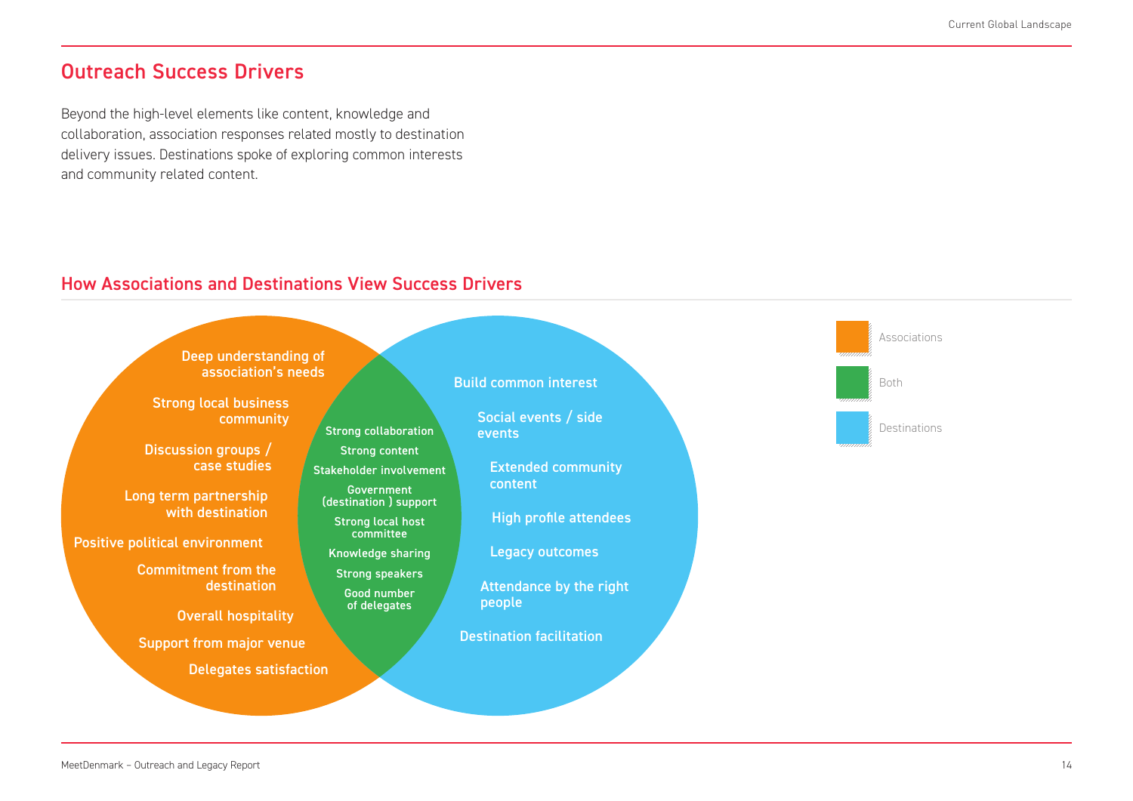### Outreach Success Drivers

Beyond the high-level elements like content, knowledge and collaboration, association responses related mostly to destination delivery issues. Destinations spoke of exploring common interests and community related content.

### How Associations and Destinations View Success Drivers

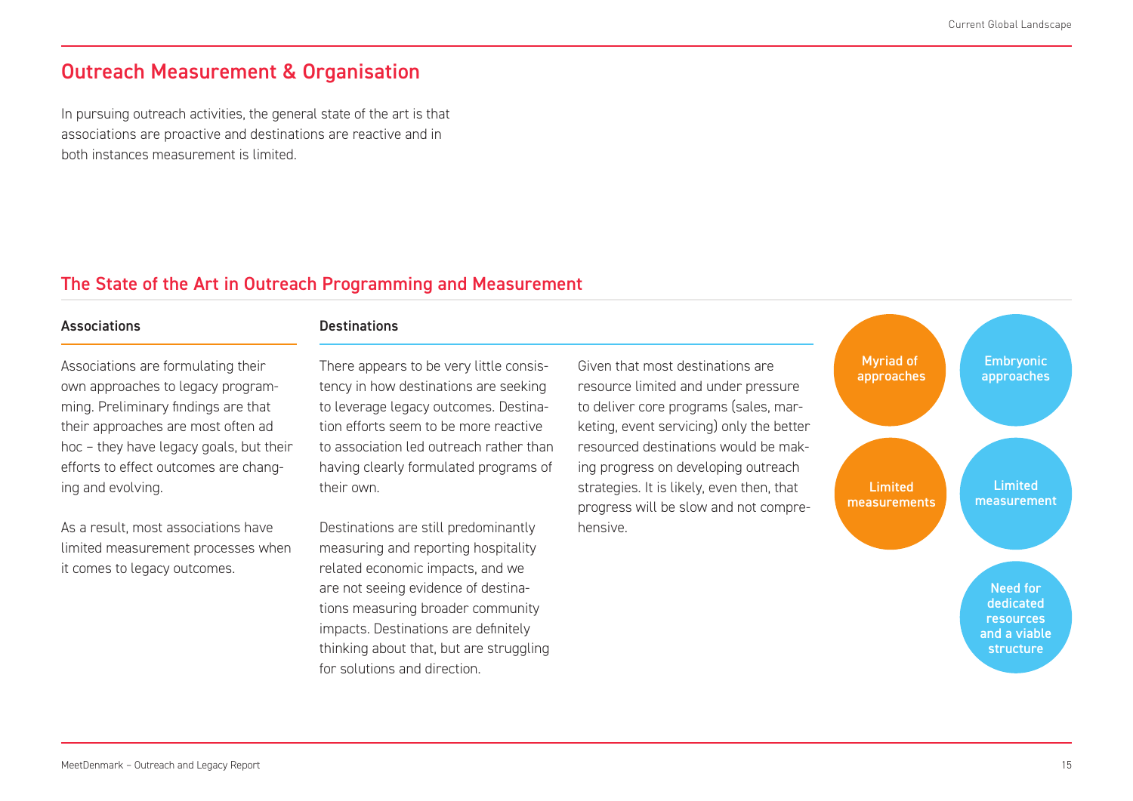### Outreach Measurement & Organisation

In pursuing outreach activities, the general state of the art is that associations are proactive and destinations are reactive and in both instances measurement is limited.

### The State of the Art in Outreach Programming and Measurement

#### Associations Destinations

Associations are formulating their own approaches to legacy programming. Preliminary findings are that their approaches are most often ad hoc – they have legacy goals, but their efforts to effect outcomes are changing and evolving.

As a result, most associations have limited measurement processes when it comes to legacy outcomes.

There appears to be very little consistency in how destinations are seeking to leverage legacy outcomes. Destination efforts seem to be more reactive to association led outreach rather than having clearly formulated programs of their own.

Destinations are still predominantly measuring and reporting hospitality related economic impacts, and we are not seeing evidence of destinations measuring broader community impacts. Destinations are definitely thinking about that, but are struggling for solutions and direction.

Given that most destinations are resource limited and under pressure to deliver core programs (sales, marketing, event servicing) only the better resourced destinations would be making progress on developing outreach strategies. It is likely, even then, that progress will be slow and not comprehensive.

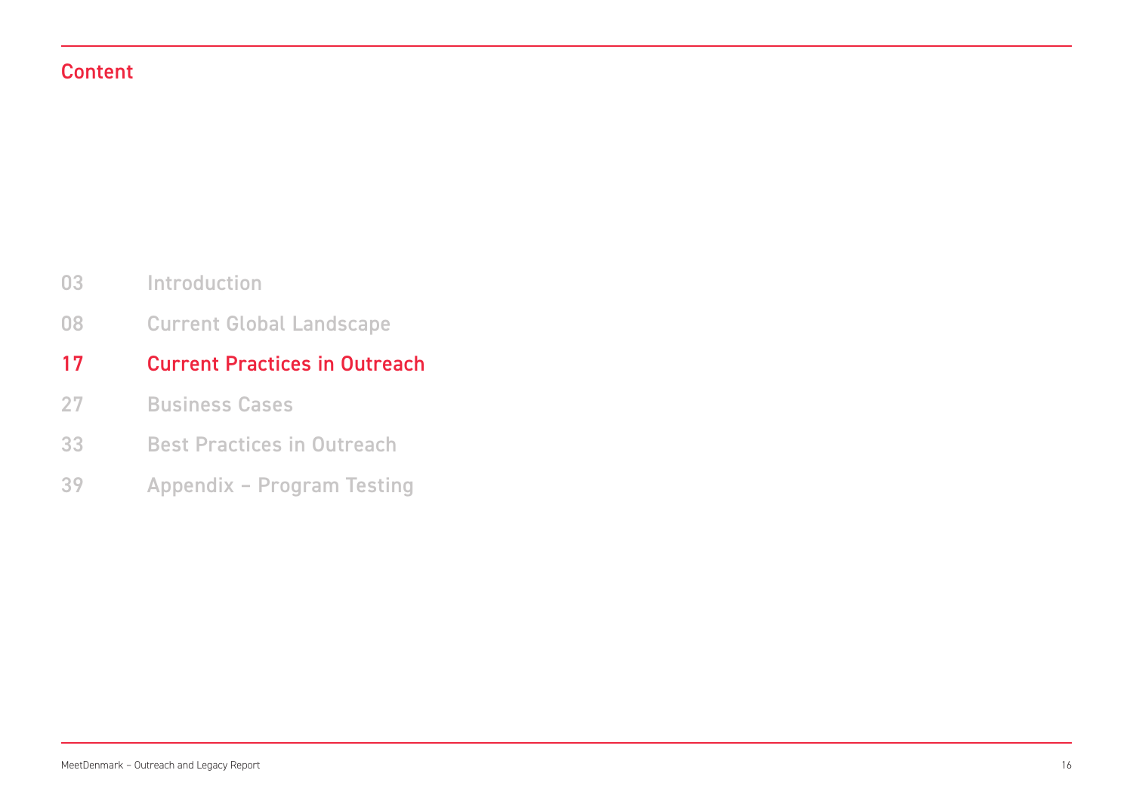### Content

- Introduction 03
- Current Global Landscape 08

#### Current Practices in Outreach 17

- Business Cases 27
- Best Practices in Outreach 33
- Appendix Program Testing 39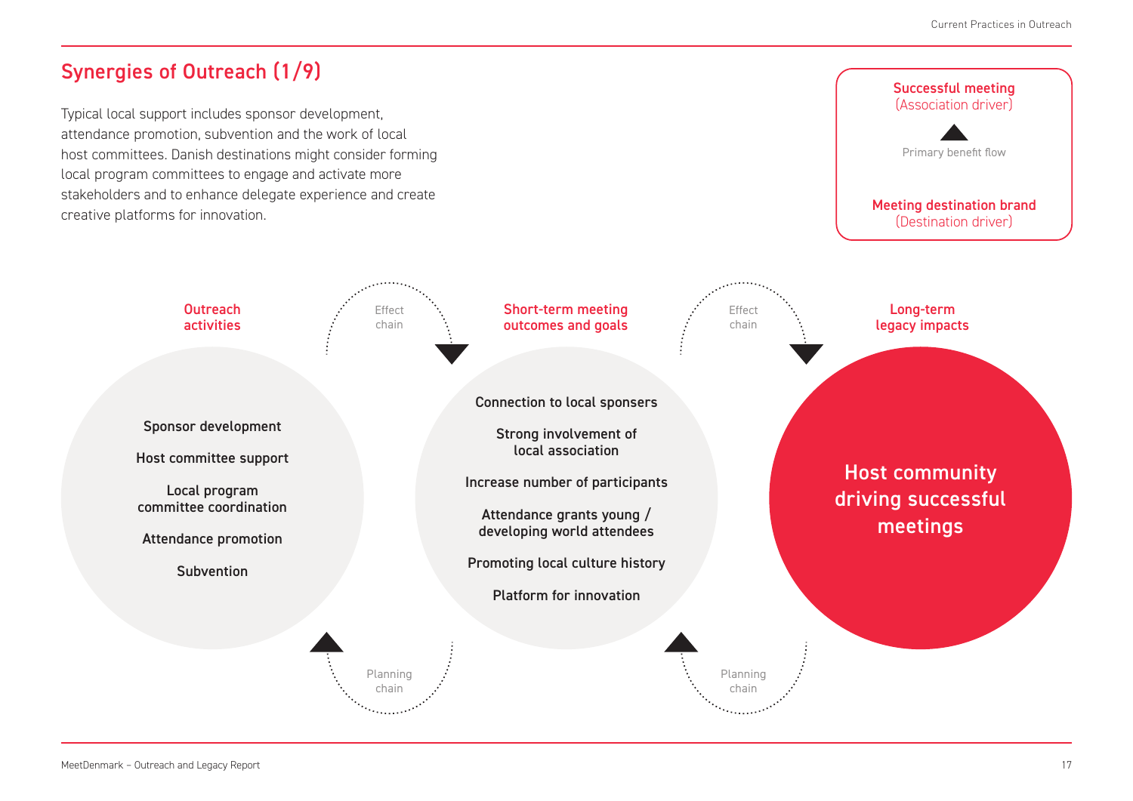## Synergies of Outreach (1/9)

Typical local support includes sponsor development, attendance promotion, subvention and the work of local host committees. Danish destinations might consider forming local program committees to engage and activate more stakeholders and to enhance delegate experience and create creative platforms for innovation.

# Long-term legacy impacts Successful meeting (Association driver) Meeting destination brand (Destination driver) Primary benefit flow

Host community

driving successful meetings

Sponsor development

Host committee support

**Outreach** activities

Local program committee coordination

Attendance promotion

**Subvention** 

Connection to local sponsers

Short-term meeting outcomes and goals

Strong involvement of local association

Increase number of participants

Attendance grants young / developing world attendees

Promoting local culture history

Platform for innovation

Planning chain

Effect chain

> Planning chain

Effect chain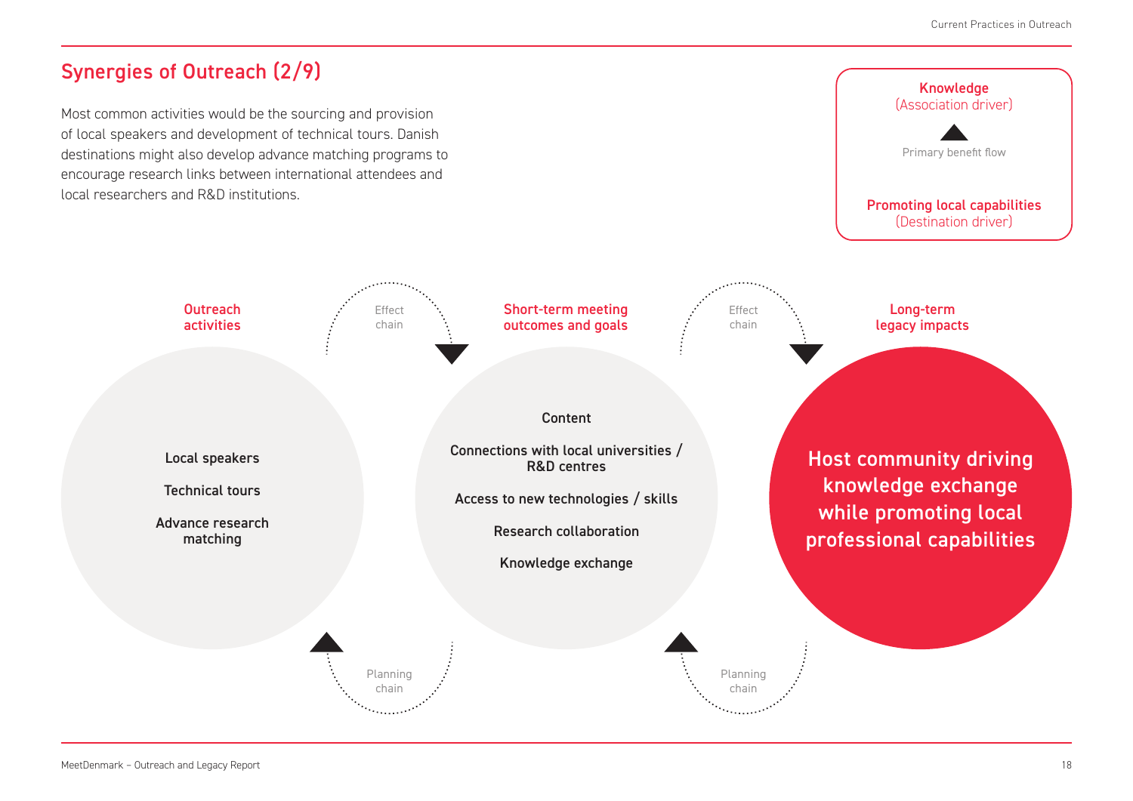## Synergies of Outreach (2/9)

Local speakers

**Outreach** activities

Technical tours

Advance research matching

Most common activities would be the sourcing and provision of local speakers and development of technical tours. Danish destinations might also develop advance matching programs to encourage research links between international attendees and local researchers and R&D institutions.

> Effect chain

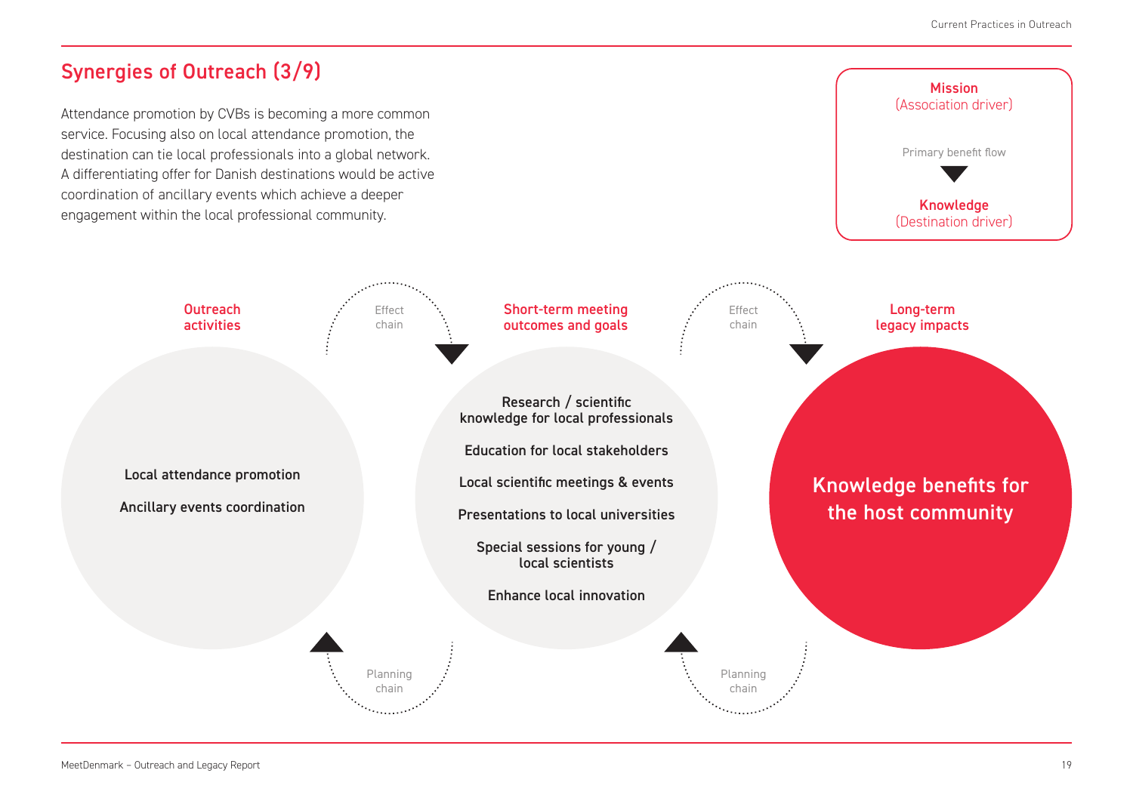### Synergies of Outreach (3/9)

Attendance promotion by CVBs is becoming a more common service. Focusing also on local attendance promotion, the destination can tie local professionals into a global network. A differentiating offer for Danish destinations would be active coordination of ancillary events which achieve a deeper engagement within the local professional community.

> Effect chain

Planning chain

Local attendance promotion

**Outreach** activities

Ancillary events coordination

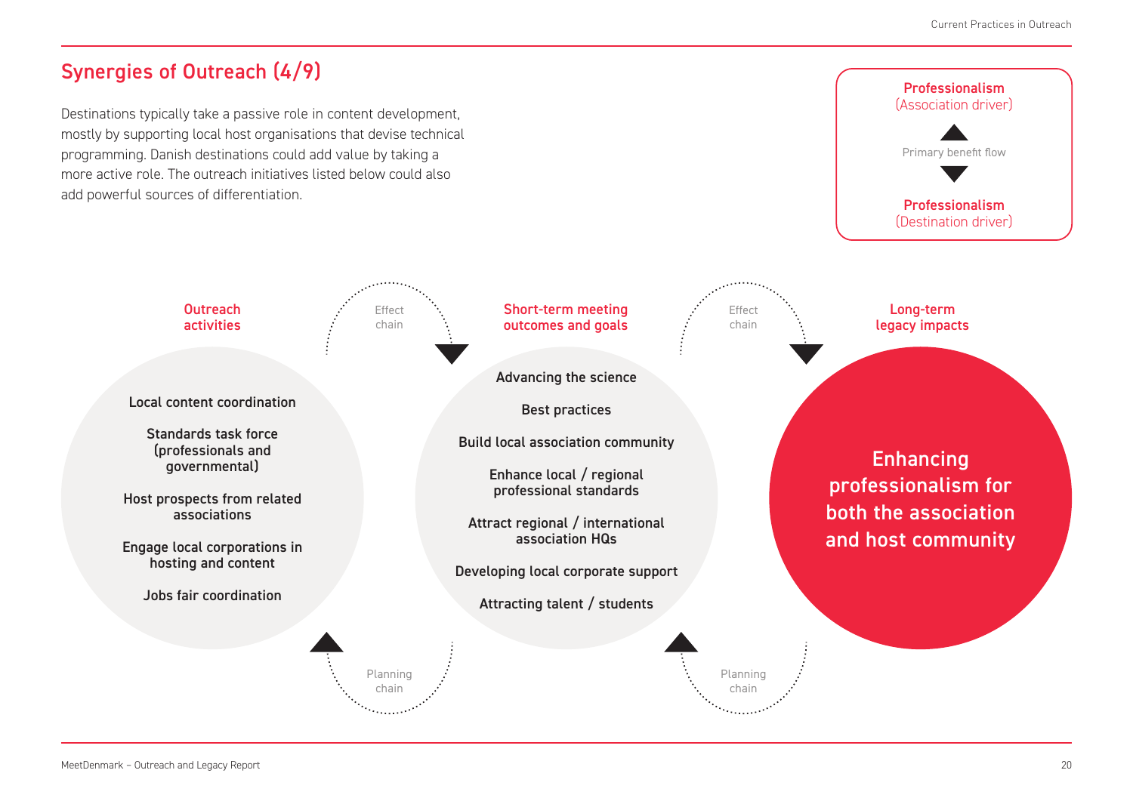## Synergies of Outreach (4/9)

Local content coordination

**Outreach** activities

Standards task force (professionals and governmental)

Host prospects from related associations

Engage local corporations in hosting and content

Jobs fair coordination

Destinations typically take a passive role in content development, mostly by supporting local host organisations that devise technical programming. Danish destinations could add value by taking a more active role. The outreach initiatives listed below could also add powerful sources of differentiation.

> Effect chain

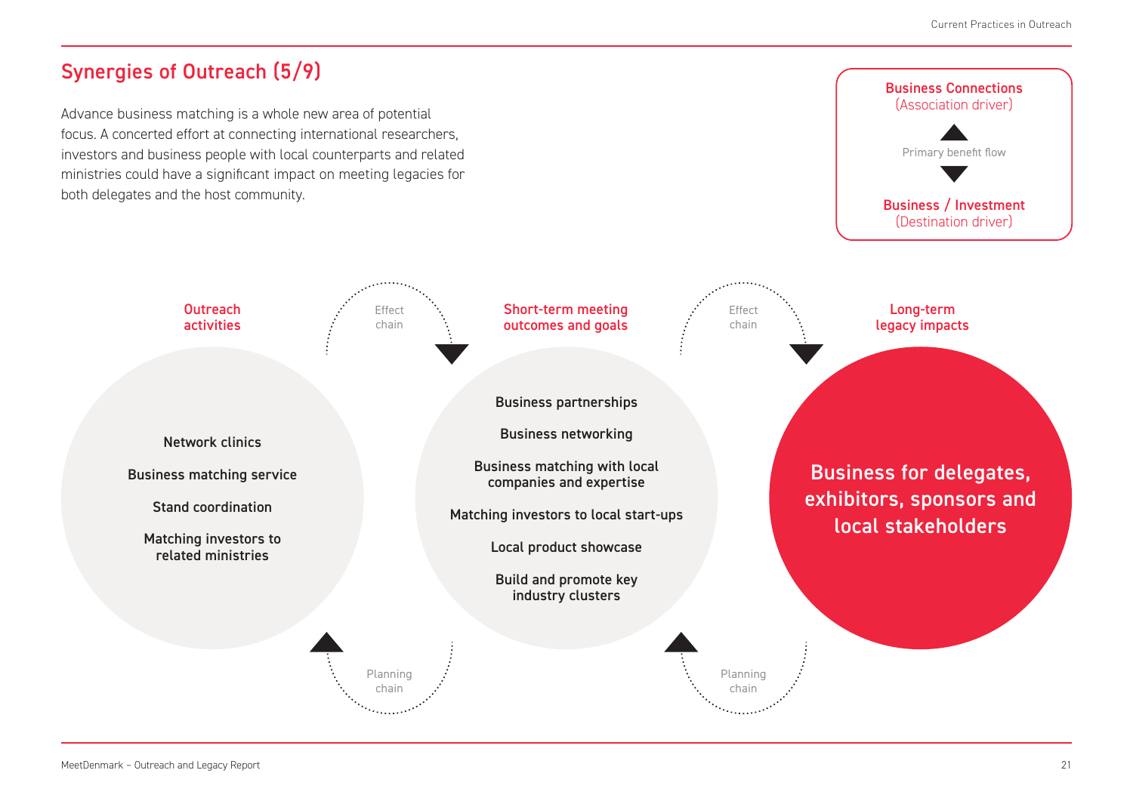## Synergies of Outreach (5/9)

Network clinics

**Outreach** activities

Business matching service

Stand coordination

Matching investors to related ministries

Advance business matching is a whole new area of potential focus. A concerted effort at connecting international researchers, investors and business people with local counterparts and related ministries could have a significant impact on meeting legacies for both delegates and the host community.

> Effect chain

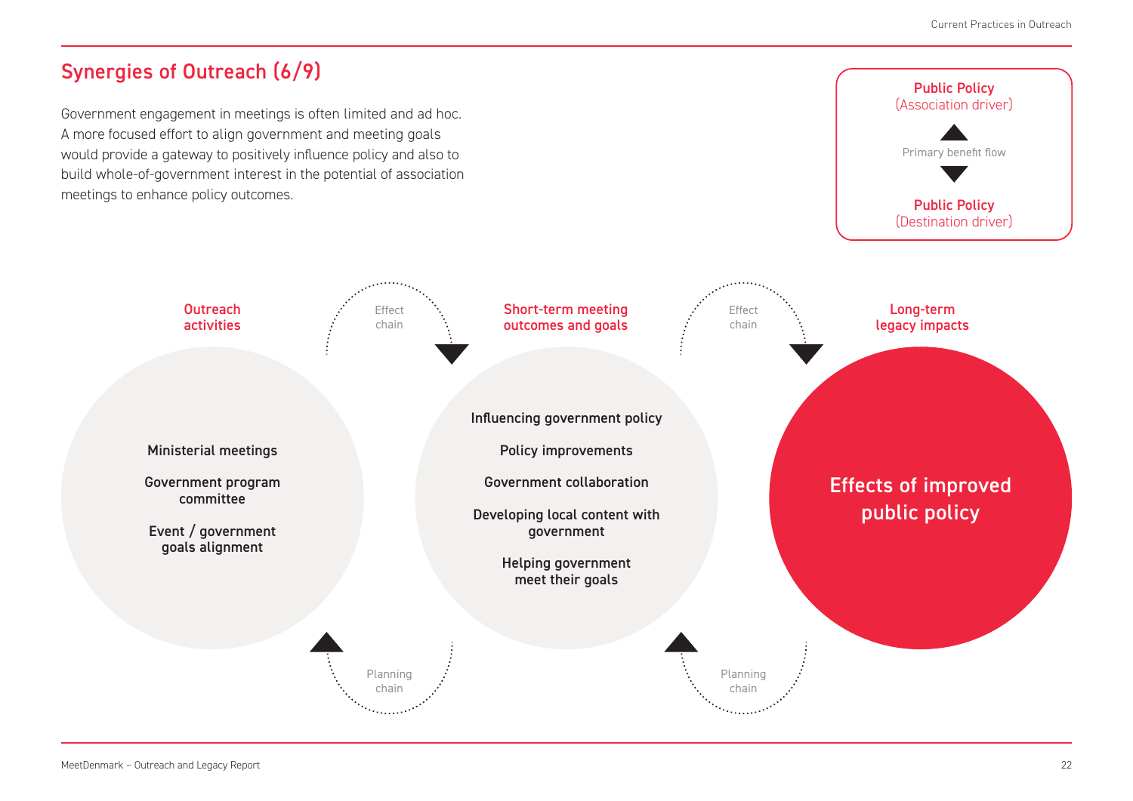## Synergies of Outreach (6/9)

Ministerial meetings

**Outreach** activities

Government program committee

Event / government goals alignment

Government engagement in meetings is often limited and ad hoc. A more focused effort to align government and meeting goals would provide a gateway to positively influence policy and also to build whole-of-government interest in the potential of association meetings to enhance policy outcomes.

> Effect chain

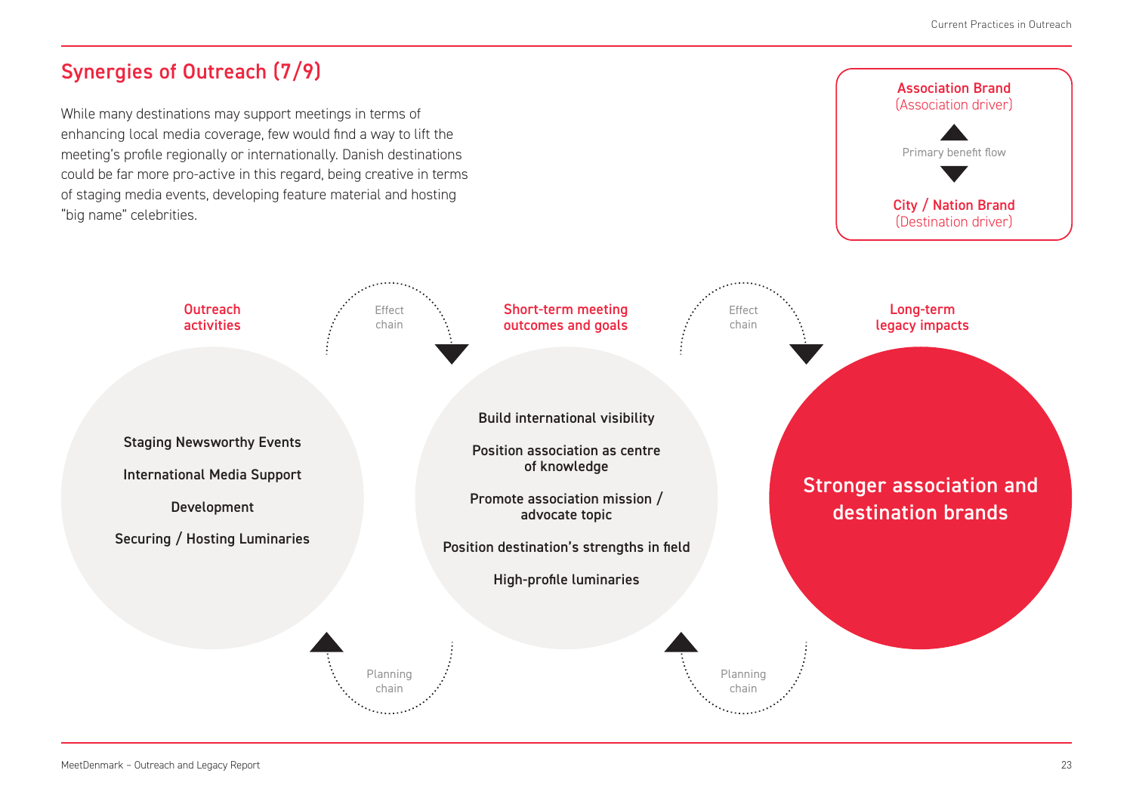## Synergies of Outreach (7/9)

Staging Newsworthy Events

**Outreach** activities

International Media Support

Development

Securing / Hosting Luminaries

While many destinations may support meetings in terms of enhancing local media coverage, few would find a way to lift the meeting's profile regionally or internationally. Danish destinations could be far more pro-active in this regard, being creative in terms of staging media events, developing feature material and hosting "big name" celebrities.



Planning chain

Effect chain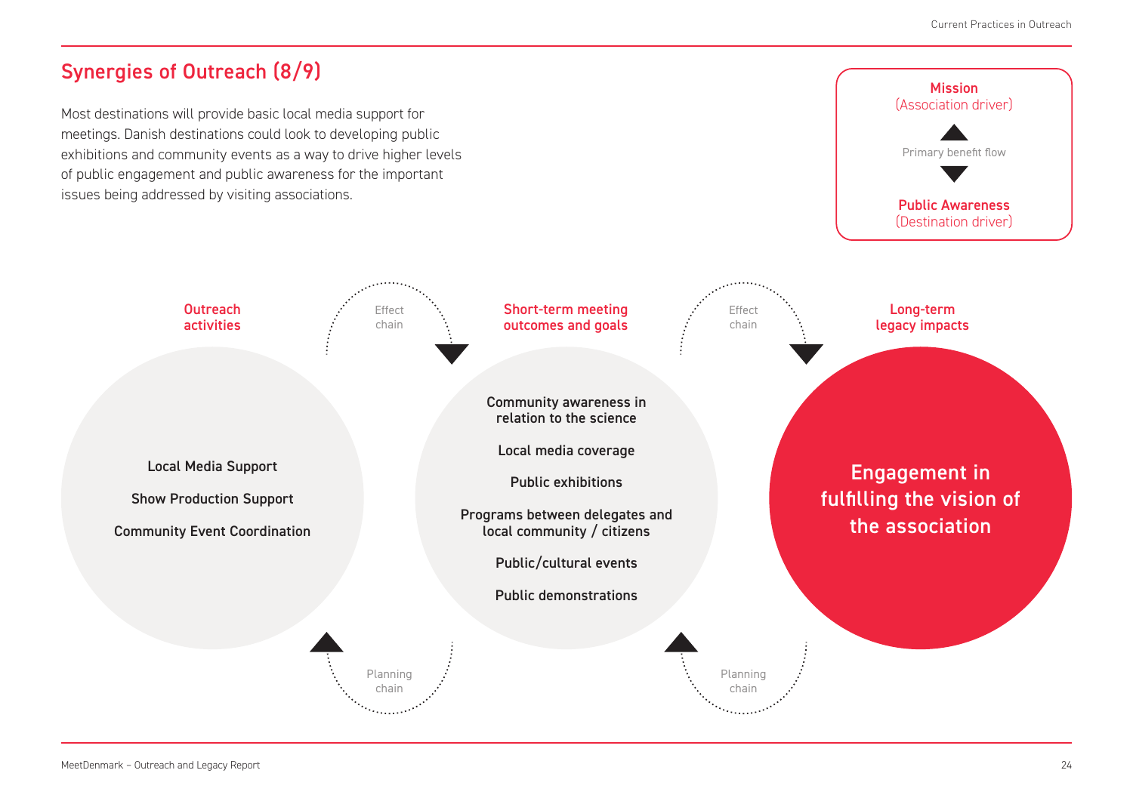## Synergies of Outreach (8/9)

Local Media Support

**Outreach** activities

Show Production Support

Community Event Coordination

Most destinations will provide basic local media support for meetings. Danish destinations could look to developing public exhibitions and community events as a way to drive higher levels of public engagement and public awareness for the important issues being addressed by visiting associations.

> Effect chain

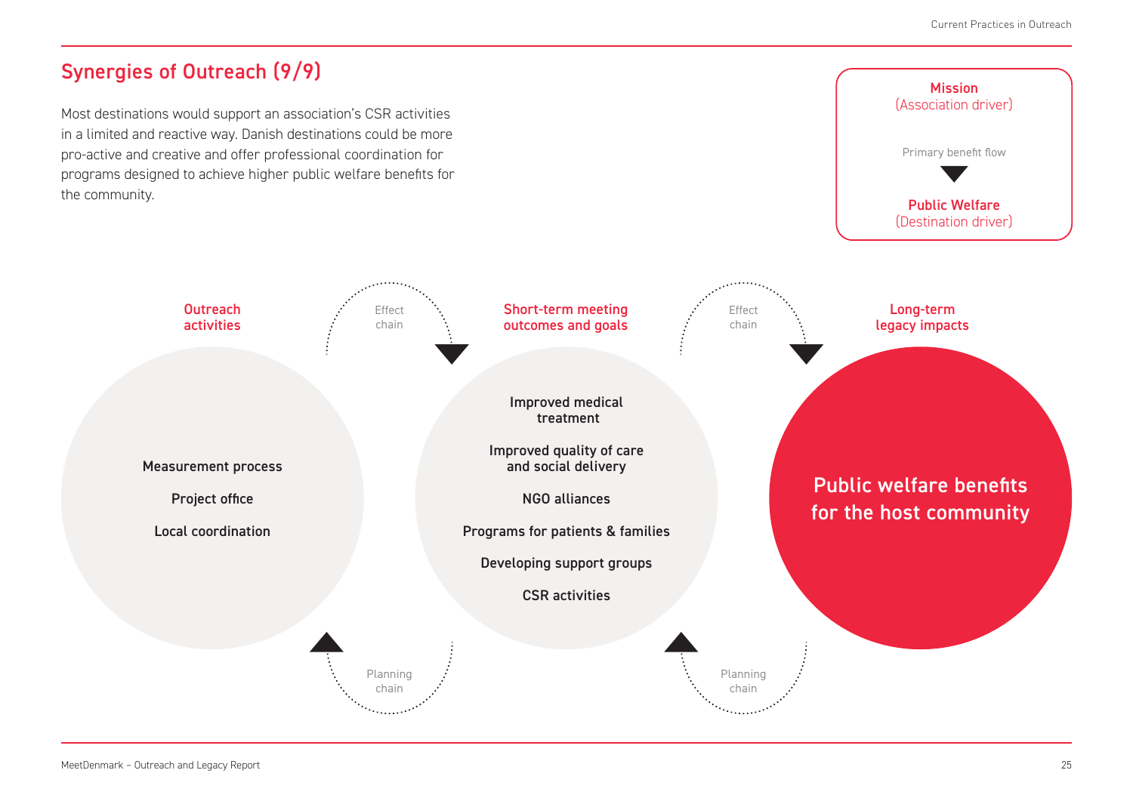## Synergies of Outreach (9/9)

Measurement process

**Outreach** activities

Project office

Local coordination

Most destinations would support an association's CSR activities in a limited and reactive way. Danish destinations could be more pro-active and creative and offer professional coordination for programs designed to achieve higher public welfare benefits for the community.

> Effect chain

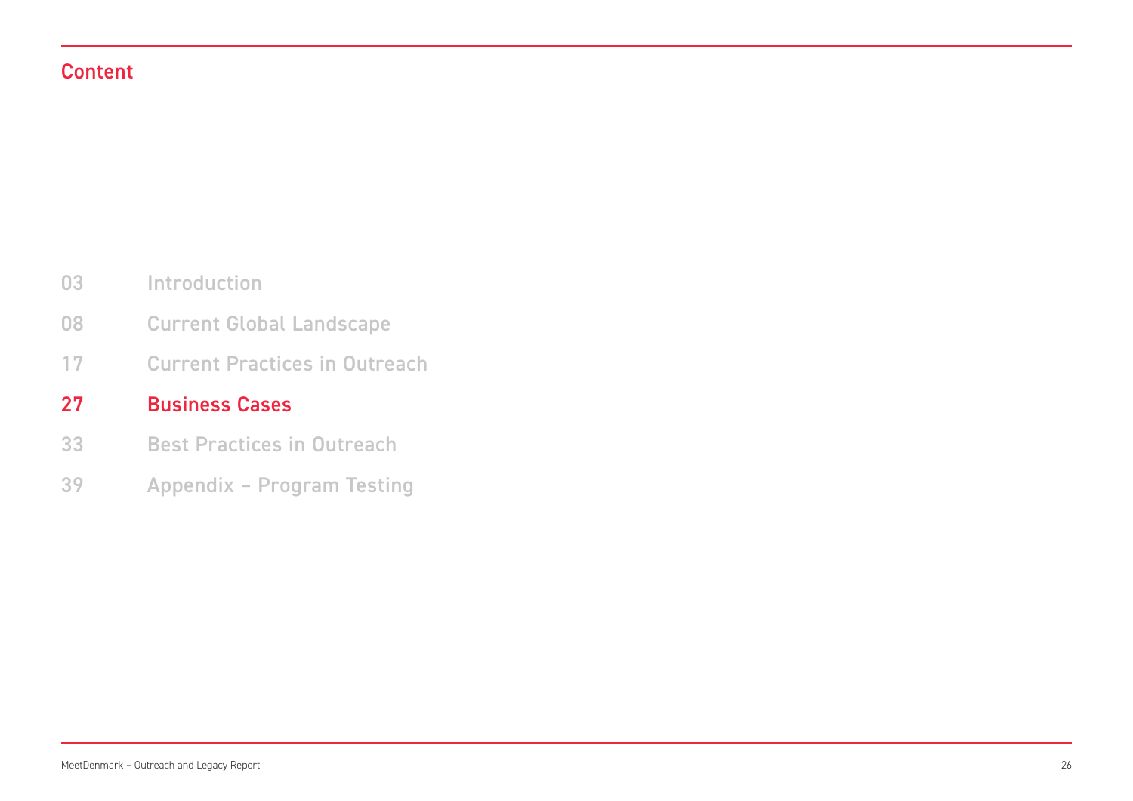### Content

- Introduction 03
- Current Global Landscape 08
- Current Practices in Outreach 17

#### Business Cases 27

- Best Practices in Outreach 33
- Appendix Program Testing 39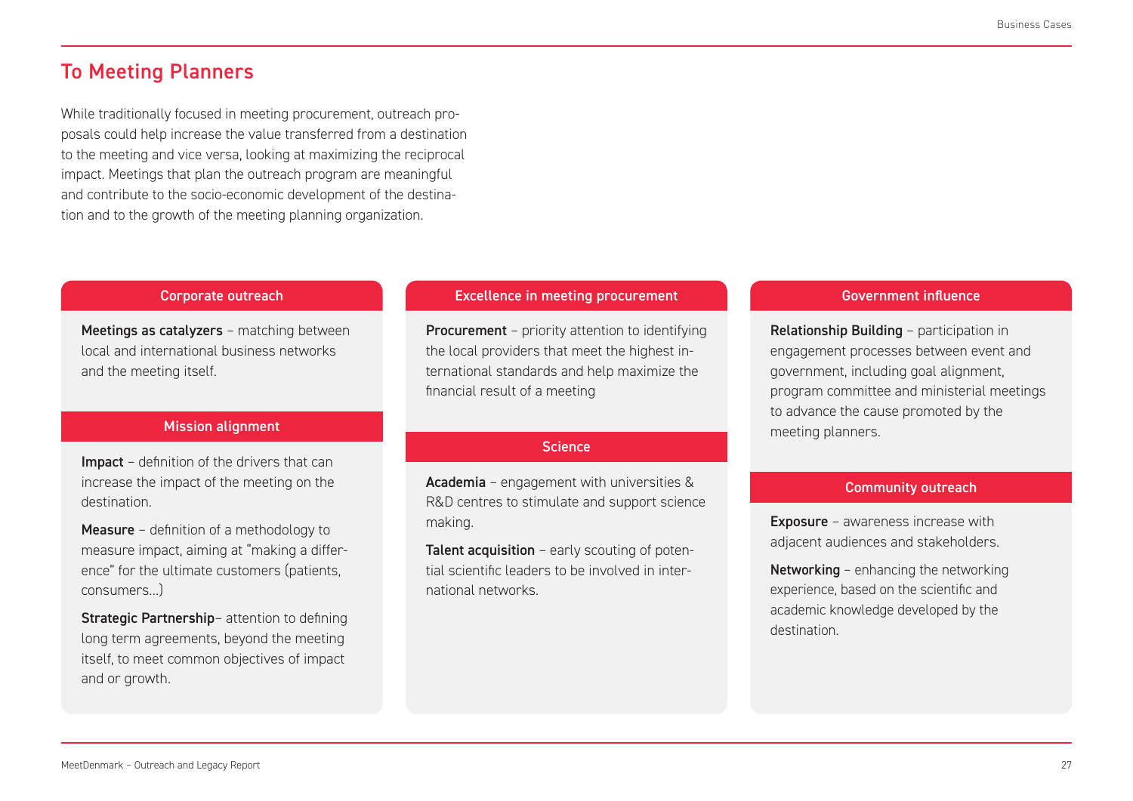### To Meeting Planners

While traditionally focused in meeting procurement, outreach proposals could help increase the value transferred from a destination to the meeting and vice versa, looking at maximizing the reciprocal impact. Meetings that plan the outreach program are meaningful and contribute to the socio-economic development of the destination and to the growth of the meeting planning organization.

Meetings as catalyzers - matching between local and international business networks and the meeting itself.

#### **Mission alignment**

Impact – definition of the drivers that can increase the impact of the meeting on the destination.

Measure – definition of a methodology to measure impact, aiming at "making a difference" for the ultimate customers (patients, consumers…)

Strategic Partnership- attention to defining long term agreements, beyond the meeting itself, to meet common objectives of impact and or growth.

### **Corporate outreach Excellence in meeting procurement Corporate Government influence**

Procurement – priority attention to identifying the local providers that meet the highest international standards and help maximize the financial result of a meeting

#### **Science**

Academia – engagement with universities & R&D centres to stimulate and support science making.

Talent acquisition - early scouting of potential scientific leaders to be involved in international networks.

Relationship Building – participation in engagement processes between event and government, including goal alignment, program committee and ministerial meetings to advance the cause promoted by the meeting planners.

#### Community outreach

Exposure – awareness increase with adjacent audiences and stakeholders.

Networking – enhancing the networking experience, based on the scientific and academic knowledge developed by the destination.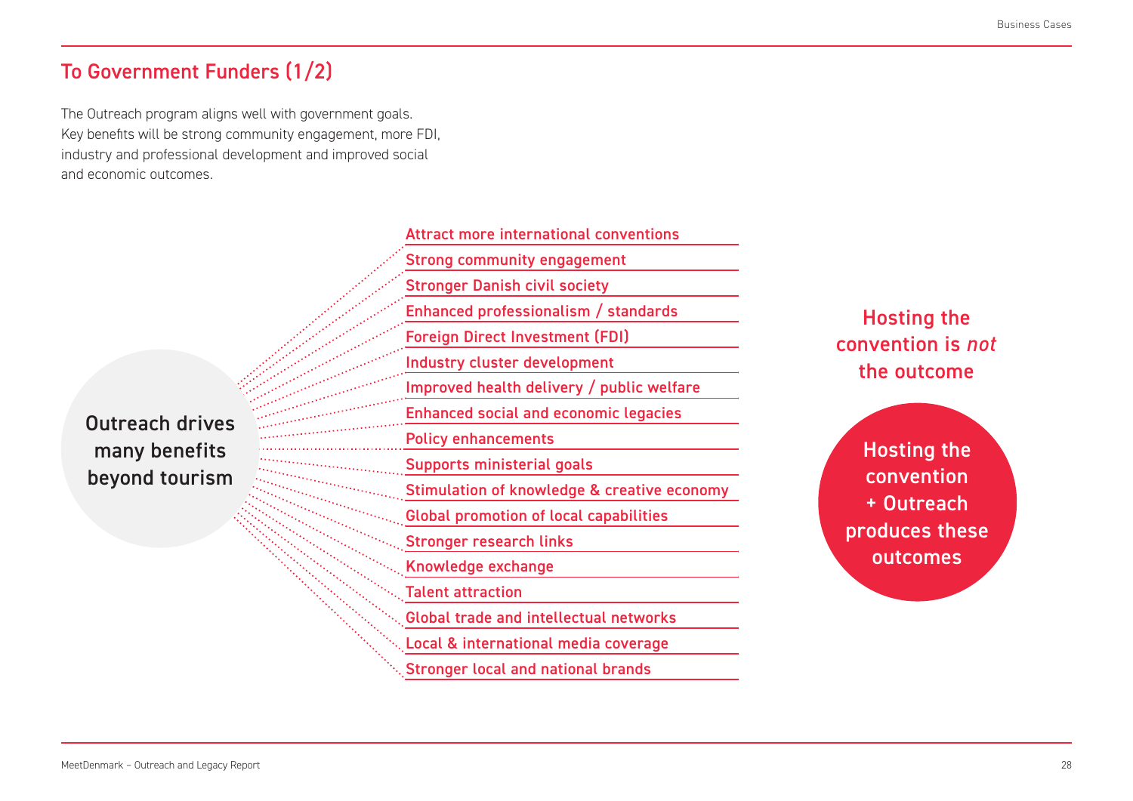### To Government Funders (1/2)

The Outreach program aligns well with government goals. Key benefits will be strong community engagement, more FDI, industry and professional development and improved social and economic outcomes.

many benefits  $\Box$ Outreach drives beyond tourism

Attract more international conventions Strong community engagement Stronger Danish civil society Enhanced professionalism / standards Foreign Direct Investment (FDI) Industry cluster development Improved health delivery / public welfare Enhanced social and economic legacies Policy enhancements Supports ministerial goals Stimulation of knowledge & creative economy Global promotion of local capabilities Stronger research links Knowledge exchange Talent attraction Global trade and intellectual networks Local & international media coverage Stronger local and national brands

Hosting the convention is *not* the outcome

Hosting the convention + Outreach produces these outcomes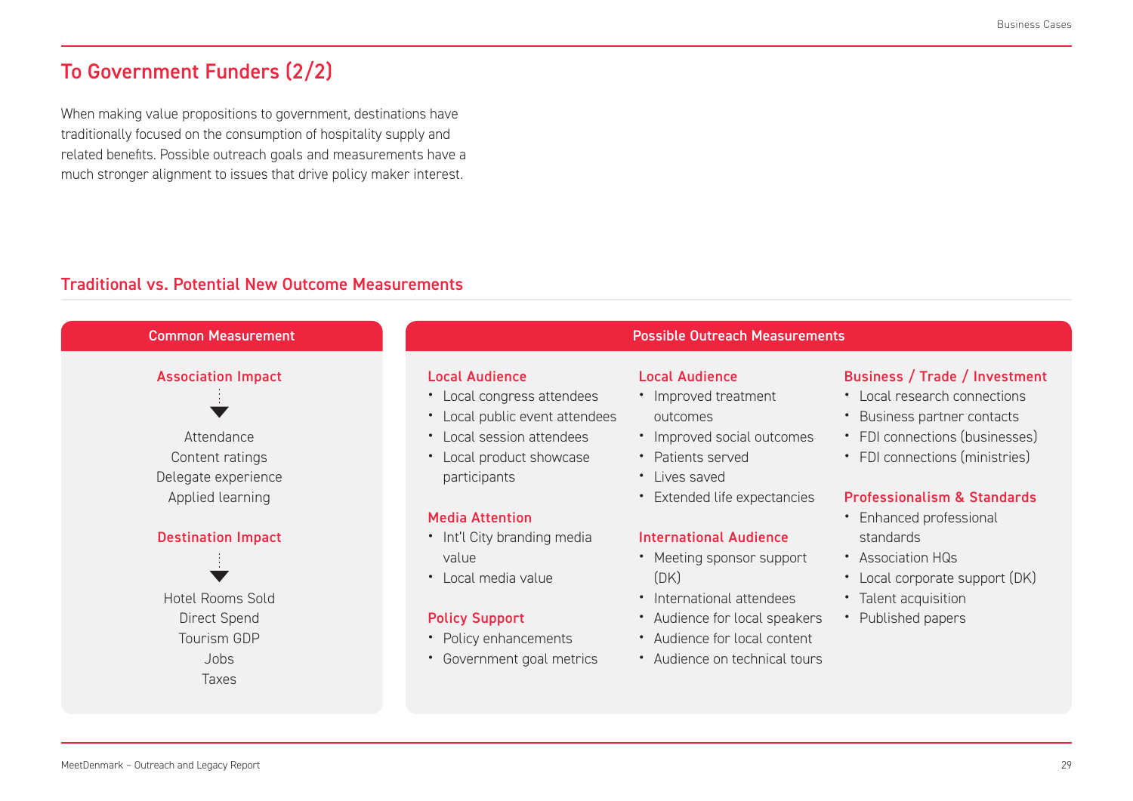## To Government Funders (2/2)

When making value propositions to government, destinations have traditionally focused on the consumption of hospitality supply and related benefits. Possible outreach goals and measurements have a much stronger alignment to issues that drive policy maker interest.

### Traditional vs. Potential New Outcome Measurements

| <b>Common Measurement</b>                                                         | <b>Possible Outreach Measurements</b>                                                                                                                          |                                                                                                                               |                                                                                                                                                                  |
|-----------------------------------------------------------------------------------|----------------------------------------------------------------------------------------------------------------------------------------------------------------|-------------------------------------------------------------------------------------------------------------------------------|------------------------------------------------------------------------------------------------------------------------------------------------------------------|
| <b>Association Impact</b><br>Attendance<br>Content ratings<br>Delegate experience | <b>Local Audience</b><br>• Local congress attendees<br>• Local public event attendees<br>• Local session attendees<br>• Local product showcase<br>participants | <b>Local Audience</b><br>• Improved treatment<br>outcomes<br>• Improved social outcomes<br>• Patients served<br>• Lives saved | Business / Trade / Investment<br>• Local research connections<br>• Business partner contacts<br>• FDI connections (businesses)<br>• FDI connections (ministries) |
| Applied learning<br><b>Destination Impact</b>                                     | <b>Media Attention</b><br>• Int'l City branding media                                                                                                          | • Extended life expectancies<br><b>International Audience</b>                                                                 | <b>Professionalism &amp; Standards</b><br>• Enhanced professional<br>standards                                                                                   |
| <b>Hotel Rooms Sold</b>                                                           | value<br>• Local media value                                                                                                                                   | • Meeting sponsor support<br>(DK)<br>• International attendees                                                                | • Association HQs<br>• Local corporate support (DK)<br>• Talent acquisition                                                                                      |
| Direct Spend<br>Tourism GDP<br>Jobs<br><b>Taxes</b>                               | <b>Policy Support</b><br>• Policy enhancements<br>• Government goal metrics                                                                                    | • Audience for local speakers<br>• Audience for local content<br>• Audience on technical tours                                | • Published papers                                                                                                                                               |
|                                                                                   |                                                                                                                                                                |                                                                                                                               |                                                                                                                                                                  |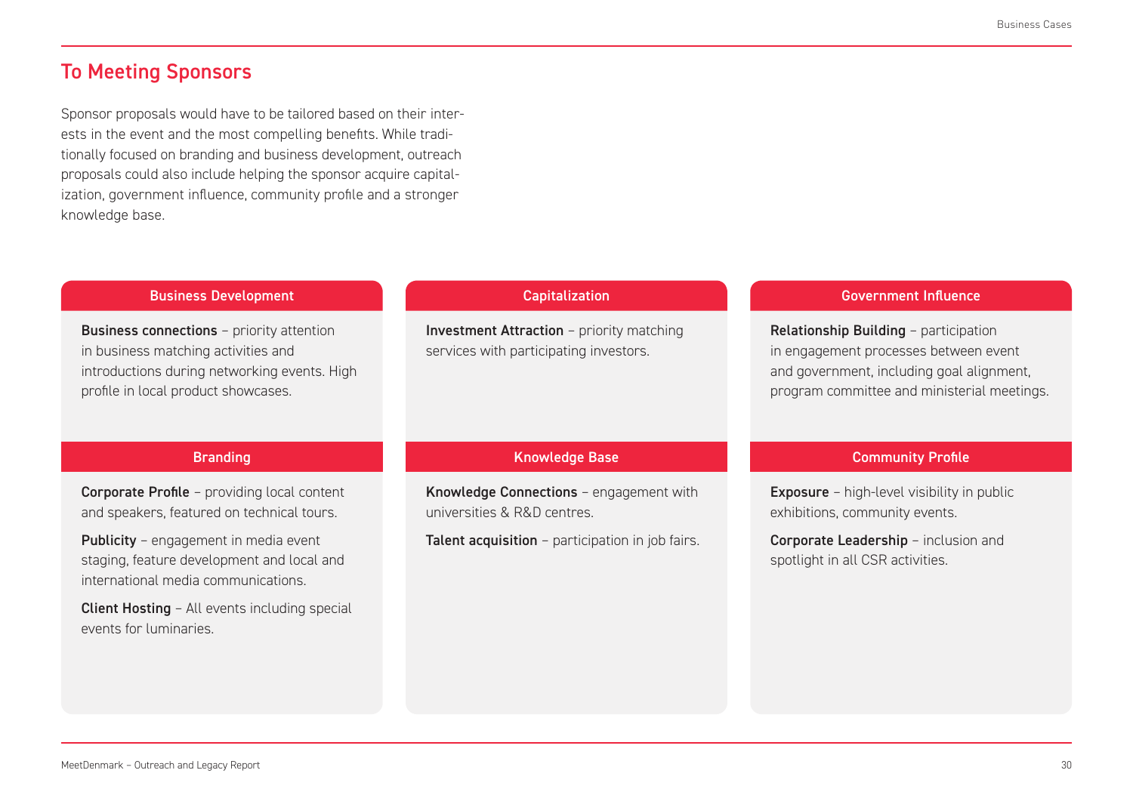### To Meeting Sponsors

Sponsor proposals would have to be tailored based on their interests in the event and the most compelling benefits. While traditionally focused on branding and business development, outreach proposals could also include helping the sponsor acquire capitalization, government influence, community profile and a stronger knowledge base.

#### **Business connections** - priority attention in business matching activities and introductions during networking events. High profile in local product showcases. Business Development **Branding Capitalization** Knowledge Base Government Influence Community Profile Investment Attraction – priority matching services with participating investors. Relationship Building – participation in engagement processes between event and government, including goal alignment, program committee and ministerial meetings. Corporate Profile – providing local content and speakers, featured on technical tours. Publicity - engagement in media event staging, feature development and local and international media communications. Client Hosting – All events including special events for luminaries. Knowledge Connections – engagement with universities & R&D centres. Talent acquisition - participation in job fairs. Exposure – high-level visibility in public exhibitions, community events. Corporate Leadership – inclusion and spotlight in all CSR activities.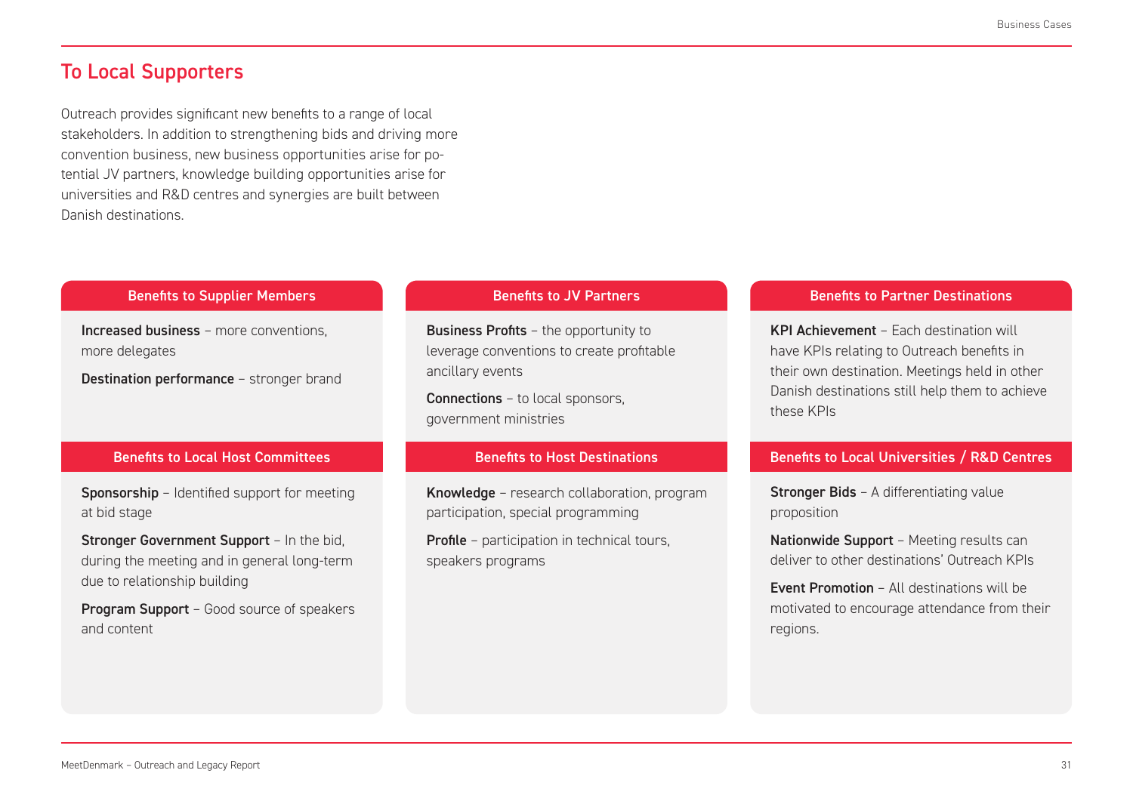### To Local Supporters

Outreach provides significant new benefits to a range of local stakeholders. In addition to strengthening bids and driving more convention business, new business opportunities arise for potential JV partners, knowledge building opportunities arise for universities and R&D centres and synergies are built between Danish destinations.

#### Benefits to Supplier Members

Increased business – more conventions, more delegates

Destination performance – stronger brand

#### Benefits to Local Host Committees

Sponsorship – Identified support for meeting at bid stage

Stronger Government Support - In the bid, during the meeting and in general long-term due to relationship building

Program Support - Good source of speakers and content

### Benefits to JV Partners

Business Profits - the opportunity to leverage conventions to create profitable ancillary events

Connections – to local sponsors, government ministries

#### Benefits to Host Destinations

Knowledge – research collaboration, program participation, special programming

**Profile** – participation in technical tours, speakers programs

#### Benefits to Partner Destinations

KPI Achievement – Each destination will have KPIs relating to Outreach benefits in their own destination. Meetings held in other Danish destinations still help them to achieve these KPIs

#### Benefits to Local Universities / R&D Centres

Stronger Bids – A differentiating value proposition

Nationwide Support - Meeting results can deliver to other destinations' Outreach KPIs

Event Promotion – All destinations will be motivated to encourage attendance from their regions.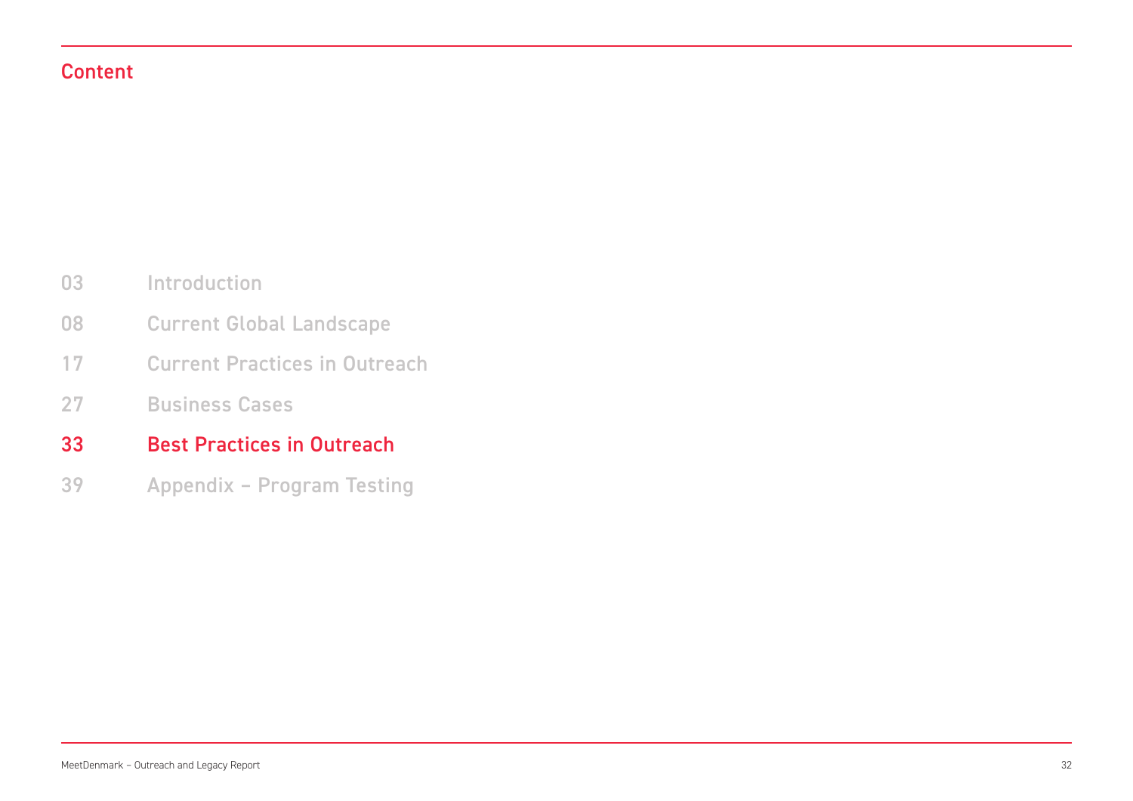### Content

- Introduction 03
- Current Global Landscape 08
- Current Practices in Outreach 17
- Business Cases 27
- Best Practices in Outreach 33
- Appendix Program Testing 39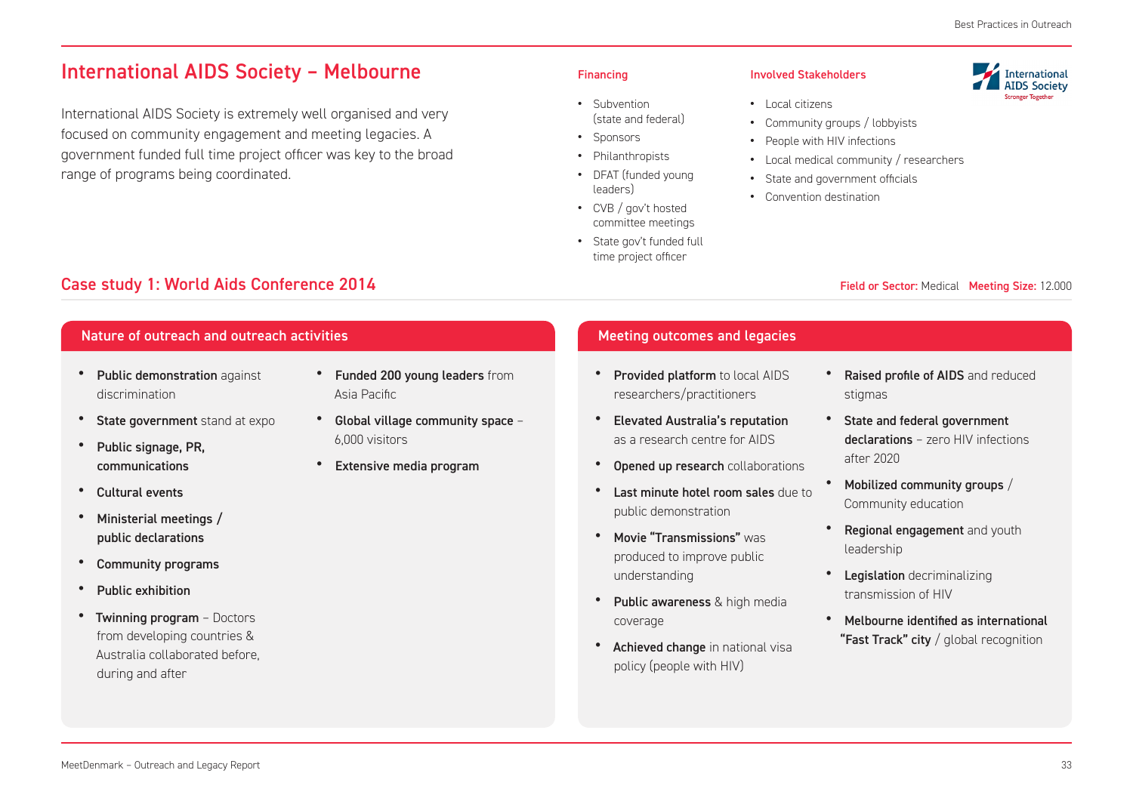### International AIDS Society – Melbourne

International AIDS Society is extremely well organised and very focused on community engagement and meeting legacies. A government funded full time project officer was key to the broad range of programs being coordinated.

- **•** Subvention (state and federal)
- **•** Sponsors
- **•** Philanthropists
- **•** DFAT (funded young leaders)
- **•** CVB / gov't hosted committee meetings
- **•** State gov't funded full time project officer

#### Financing **Involved Stakeholders**

- **•** Local citizens
- **•** Community groups / lobbyists
- **•** People with HIV infections
- **•** Local medical community / researchers
- **•** State and government officials
- **•** Convention destination

## **International**<br>AIDS Society

- -
- 
- 

#### Field or Sector: Medical Meeting Size: 12.000

Case study 1: World Aids Conference 2014

#### Nature of outreach and outreach activities

- Public demonstration against discrimination
- State government stand at expo
- Public signage, PR. communications
- Cultural events
- Ministerial meetings / public declarations
- Community programs
- Public exhibition
- Twinning program Doctors from developing countries & Australia collaborated before, during and after
- Funded 200 young leaders from Asia Pacific
- Global village community space 6,000 visitors
- Extensive media program

#### Meeting outcomes and legacies

- Provided platform to local AIDS researchers/practitioners
- Elevated Australia's reputation as a research centre for AIDS
- Opened up research collaborations
- Last minute hotel room sales due to public demonstration
- Movie "Transmissions" was produced to improve public understanding
- Public awareness & high media coverage
- Achieved change in national visa policy (people with HIV)
- Raised profile of AIDS and reduced stigmas
- State and federal government declarations – zero HIV infections after 2020
- Mobilized community groups / Community education
- **Regional engagement** and youth leadership
- Legislation decriminalizing transmission of HIV
- Melbourne identified as international "Fast Track" city / global recognition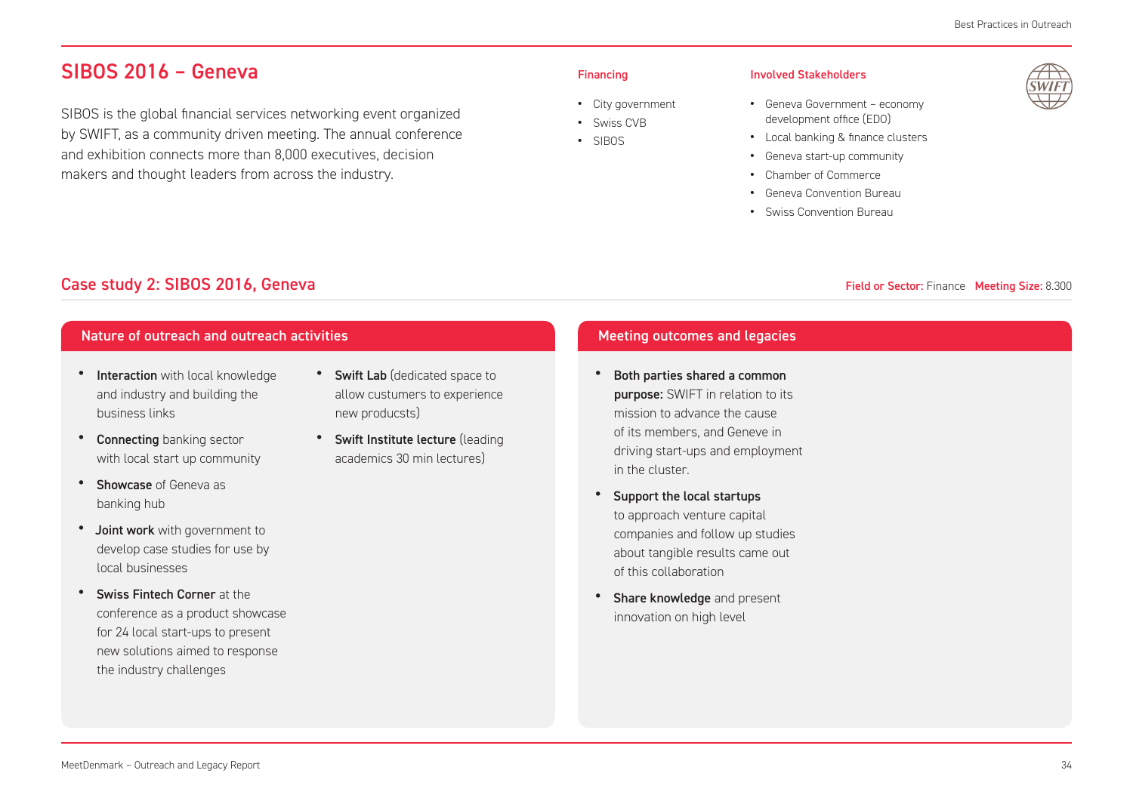### SIBOS 2016 – Geneva

SIBOS is the global financial services networking event organized by SWIFT, as a community driven meeting. The annual conference and exhibition connects more than 8,000 executives, decision makers and thought leaders from across the industry.

#### Financing

- **•** City government
- **•** Swiss CVB **•** SIBOS

#### Involved Stakeholders

- **•** Geneva Government economy development office (EDO)
- **•** Local banking & finance clusters
- **•** Geneva start-up community
- **•** Chamber of Commerce
- **•** Geneva Convention Bureau
- **•** Swiss Convention Bureau



#### Field or Sector: Finance Meeting Size: 8.300

### Case study 2: SIBOS 2016, Geneva

### Nature of outreach and outreach activities Meeting outcomes and legacies

- Interaction with local knowledge and industry and building the business links
- Connecting banking sector with local start up community
- Showcase of Geneva as banking hub
- Joint work with government to develop case studies for use by local businesses
- Swiss Fintech Corner at the conference as a product showcase for 24 local start-ups to present new solutions aimed to response the industry challenges
- Swift Lab (dedicated space to allow custumers to experience new producsts)
- Swift Institute lecture (leading academics 30 min lectures)

- Both parties shared a common **purpose:** SWIFT in relation to its mission to advance the cause of its members, and Geneve in driving start-ups and employment in the cluster.
- Support the local startups to approach venture capital companies and follow up studies about tangible results came out of this collaboration
- Share knowledge and present innovation on high level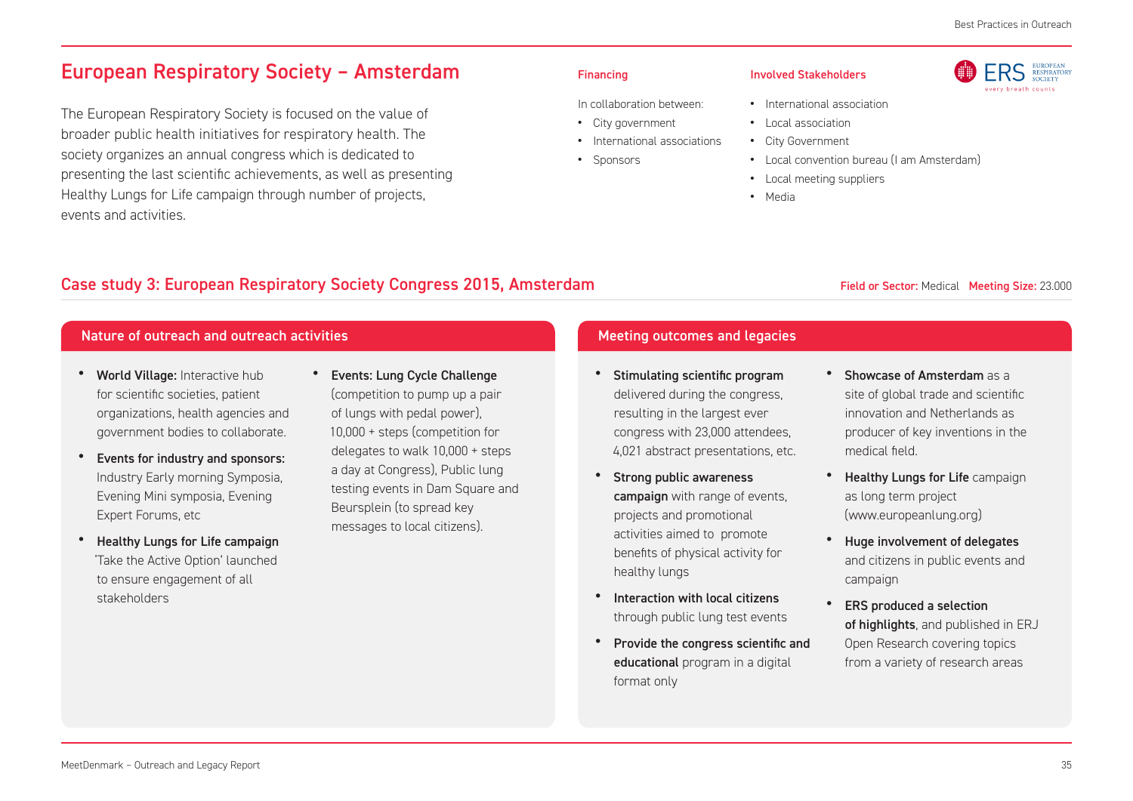**RS** 

EUROPEAN<br>RESPIRATORY

**SOCIETY** avery heasth counter

### European Respiratory Society – Amsterdam

The European Respiratory Society is focused on the value of broader public health initiatives for respiratory health. The society organizes an annual congress which is dedicated to presenting the last scientific achievements, as well as presenting Healthy Lungs for Life campaign through number of projects, events and activities.

#### Financing

**•** Sponsors

In collaboration between: **•** City government

**•** International associations

- **•** Local association
	- **•** City Government

Involved Stakeholders

- **•** Local convention bureau (I am Amsterdam)
- **•** Local meeting suppliers

**•** International association

**•** Media

### Case study 3: European Respiratory Society Congress 2015, Amsterdam

#### Field or Sector: Medical Meeting Size: 23.000

### Nature of outreach and outreach activities Meeting outcomes and legacies

- World Village: Interactive hub for scientific societies, patient organizations, health agencies and government bodies to collaborate.
- Events for industry and sponsors: Industry Early morning Symposia, Evening Mini symposia, Evening Expert Forums, etc
- Healthy Lungs for Life campaign 'Take the Active Option' launched to ensure engagement of all stakeholders
- Events: Lung Cycle Challenge (competition to pump up a pair of lungs with pedal power), 10,000 + steps (competition for delegates to walk 10,000 + steps a day at Congress), Public lung testing events in Dam Square and Beursplein (to spread key messages to local citizens).

- Stimulating scientific program delivered during the congress, resulting in the largest ever congress with 23,000 attendees, 4,021 abstract presentations, etc.
- Strong public awareness campaign with range of events, projects and promotional activities aimed to promote benefits of physical activity for healthy lungs
- Interaction with local citizens through public lung test events
- Provide the congress scientific and educational program in a digital format only
- Showcase of Amsterdam as a site of global trade and scientific innovation and Netherlands as producer of key inventions in the medical field.
- **Healthy Lungs for Life campaign** as long term project (www.europeanlung.org)
- Huge involvement of delegates and citizens in public events and campaign
- ERS produced a selection of highlights, and published in ERJ Open Research covering topics from a variety of research areas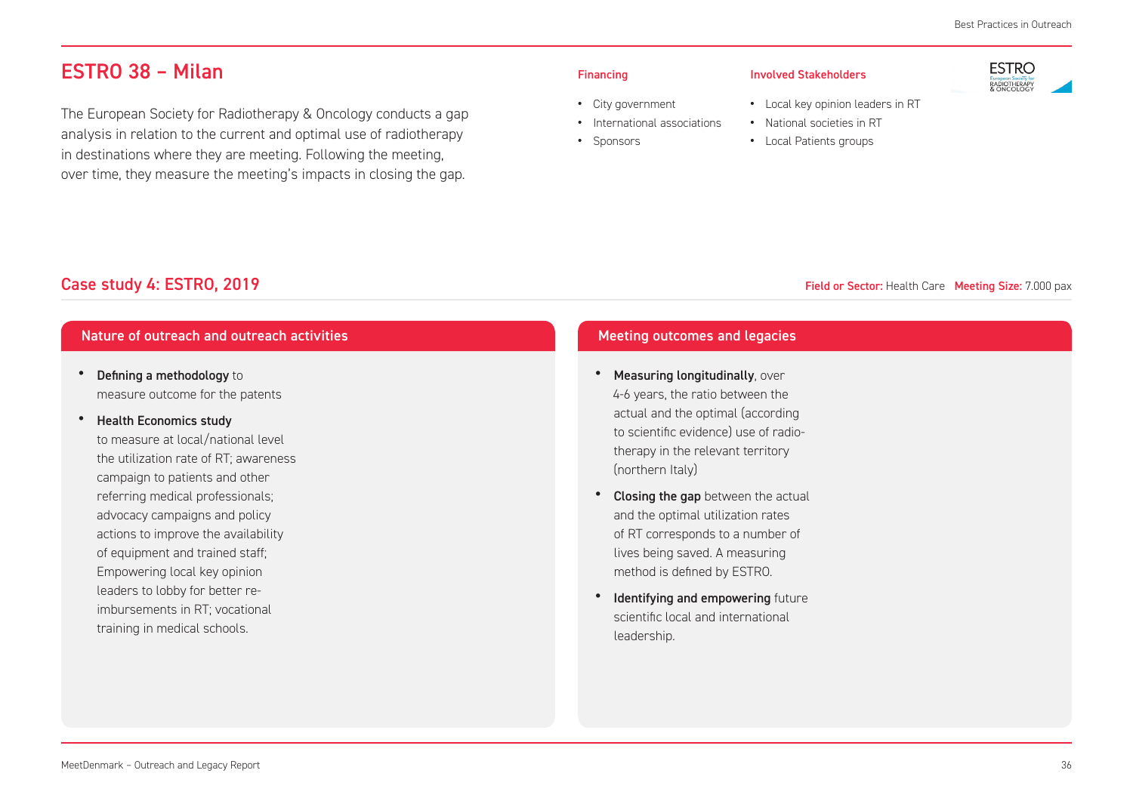### ESTRO 38 – Milan

The European Society for Radiotherapy & Oncology conducts a gap analysis in relation to the current and optimal use of radiotherapy in destinations where they are meeting. Following the meeting, over time, they measure the meeting's impacts in closing the gap.

#### Financing

**•** Sponsors

#### Involved Stakeholders

**•** City government

**•** International associations

- **•** National societies in RT
- **•** Local Patients groups



- **•** Local key opinion leaders in RT
	-
	-

### Field or Sector: Health Care Meeting Size: 7.000 pax

### Case study 4: ESTRO, 2019

#### Nature of outreach and outreach activities Meeting outcomes and legacies

- Defining a methodology to measure outcome for the patents
- Health Economics study

to measure at local/national level the utilization rate of RT; awareness campaign to patients and other referring medical professionals; advocacy campaigns and policy actions to improve the availability of equipment and trained staff; Empowering local key opinion leaders to lobby for better reimbursements in RT; vocational training in medical schools.

- Measuring longitudinally, over 4-6 years, the ratio between the actual and the optimal (according to scientific evidence) use of radiotherapy in the relevant territory (northern Italy)
- Closing the gap between the actual and the optimal utilization rates of RT corresponds to a number of lives being saved. A measuring method is defined by ESTRO.
- **Identifying and empowering future** scientific local and international leadership.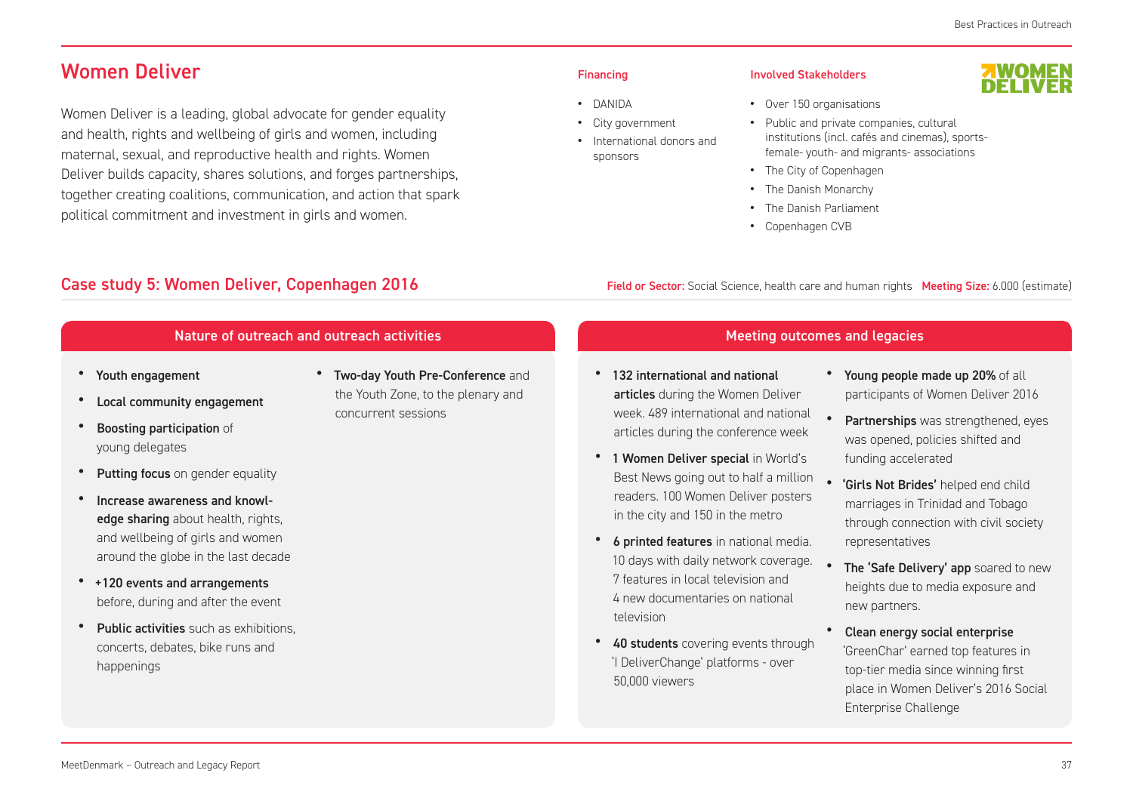### Women Deliver

Women Deliver is a leading, global advocate for gender equality and health, rights and wellbeing of girls and women, including maternal, sexual, and reproductive health and rights. Women Deliver builds capacity, shares solutions, and forges partnerships, together creating coalitions, communication, and action that spark political commitment and investment in girls and women.

#### Financing

- **•** DANIDA
- **•** City government **•** International donors and sponsors

#### Involved Stakeholders

#### **•** Over 150 organisations

- **•** Public and private companies, cultural institutions (incl. cafés and cinemas), sports-
- female- youth- and migrants- associations
- **•** The City of Copenhagen
- **•** The Danish Monarchy
- **•** The Danish Parliament
- **•** Copenhagen CVB

### Case study 5: Women Deliver, Copenhagen 2016

#### Nature of outreach and outreach activities

- Youth engagement
- Local community engagement
- **Boosting participation of** young delegates
- **Putting focus** on gender equality
- Increase awareness and knowledge sharing about health, rights, and wellbeing of girls and women around the globe in the last decade
- +120 events and arrangements before, during and after the event
- Public activities such as exhibitions, concerts, debates, bike runs and happenings

• Two-day Youth Pre-Conference and the Youth Zone, to the plenary and concurrent sessions

### Field or Sector: Social Science, health care and human rights Meeting Size: 6.000 (estimate)

### Meeting outcomes and legacies

- 132 international and national articles during the Women Deliver week. 489 international and national articles during the conference week
- 1 Women Deliver special in World's Best News going out to half a million • readers. 100 Women Deliver posters in the city and 150 in the metro
- 6 printed features in national media. 10 days with daily network coverage. 7 features in local television and 4 new documentaries on national television
- 40 students covering events through 'I DeliverChange' platforms - over 50,000 viewers
- Young people made up 20% of all participants of Women Deliver 2016
- Partnerships was strengthened, eyes was opened, policies shifted and funding accelerated
- 'Girls Not Brides' helped end child marriages in Trinidad and Tobago through connection with civil society representatives
- The 'Safe Delivery' app soared to new heights due to media exposure and new partners.
- Clean energy social enterprise 'GreenChar' earned top features in top-tier media since winning first place in Women Deliver's 2016 Social Enterprise Challenge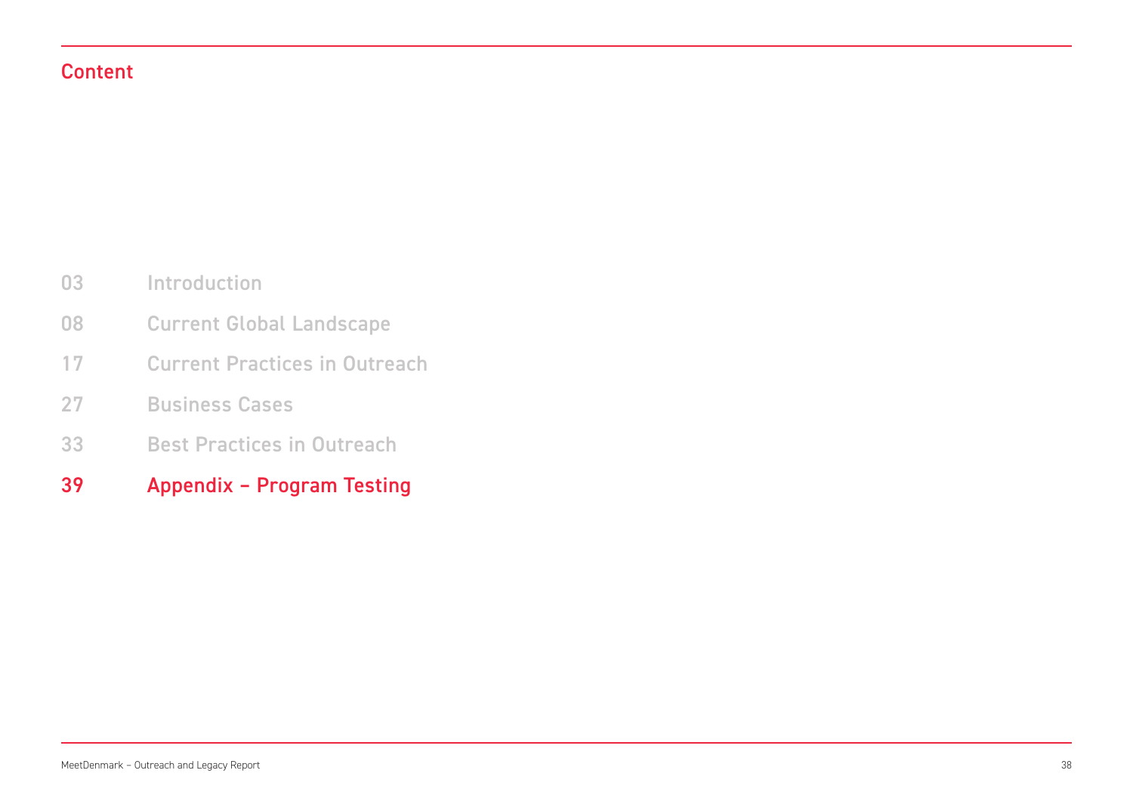### Content

- Introduction 03
- Current Global Landscape 08
- Current Practices in Outreach 17
- Business Cases 27
- Best Practices in Outreach 33
- Appendix Program Testing 39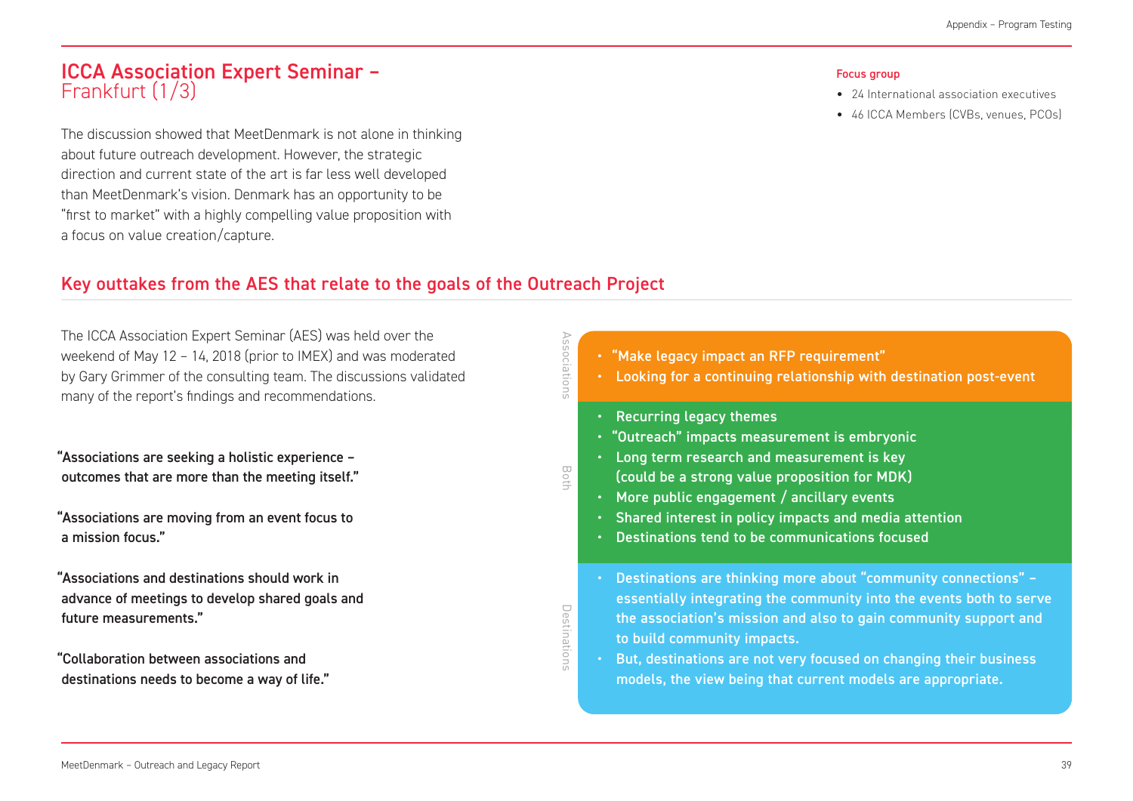### ICCA Association Expert Seminar – Frankfurt (1/3)

The discussion showed that MeetDenmark is not alone in thinking about future outreach development. However, the strategic direction and current state of the art is far less well developed than MeetDenmark's vision. Denmark has an opportunity to be "first to market" with a highly compelling value proposition with a focus on value creation/capture.

#### Focus group

- 24 International association executives
- 46 ICCA Members (CVBs, venues, PCOs)

### Key outtakes from the AES that relate to the goals of the Outreach Project

The ICCA Association Expert Seminar (AES) was held over the weekend of May 12 – 14, 2018 (prior to IMEX) and was moderated by Gary Grimmer of the consulting team. The discussions validated many of the report's findings and recommendations.

"Associations are seeking a holistic experience – outcomes that are more than the meeting itself."

"Associations are moving from an event focus to a mission focus."

- "Associations and destinations should work in advance of meetings to develop shared goals and future measurements."
- "Collaboration between associations and destinations needs to become a way of life."

| ciations     | • "Make legacy impact an RFP requirement"<br>Looking for a continuing relationship with destination post-event<br>$\bullet$                                                                                                                                                                                                                                                                            |
|--------------|--------------------------------------------------------------------------------------------------------------------------------------------------------------------------------------------------------------------------------------------------------------------------------------------------------------------------------------------------------------------------------------------------------|
| Both         | <b>Recurring legacy themes</b><br>٠<br>· "Outreach" impacts measurement is embryonic<br>Long term research and measurement is key<br>$\bullet$<br>(could be a strong value proposition for MDK)<br>More public engagement / ancillary events<br>$\bullet$<br>Shared interest in policy impacts and media attention<br>$\bullet$<br>Destinations tend to be communications focused<br>$\bullet$         |
| Destinations | Destinations are thinking more about "community connections" -<br>$\bullet$<br>essentially integrating the community into the events both to serve<br>the association's mission and also to gain community support and<br>to build community impacts.<br>But, destinations are not very focused on changing their business<br>$\bullet$<br>models, the view being that current models are appropriate. |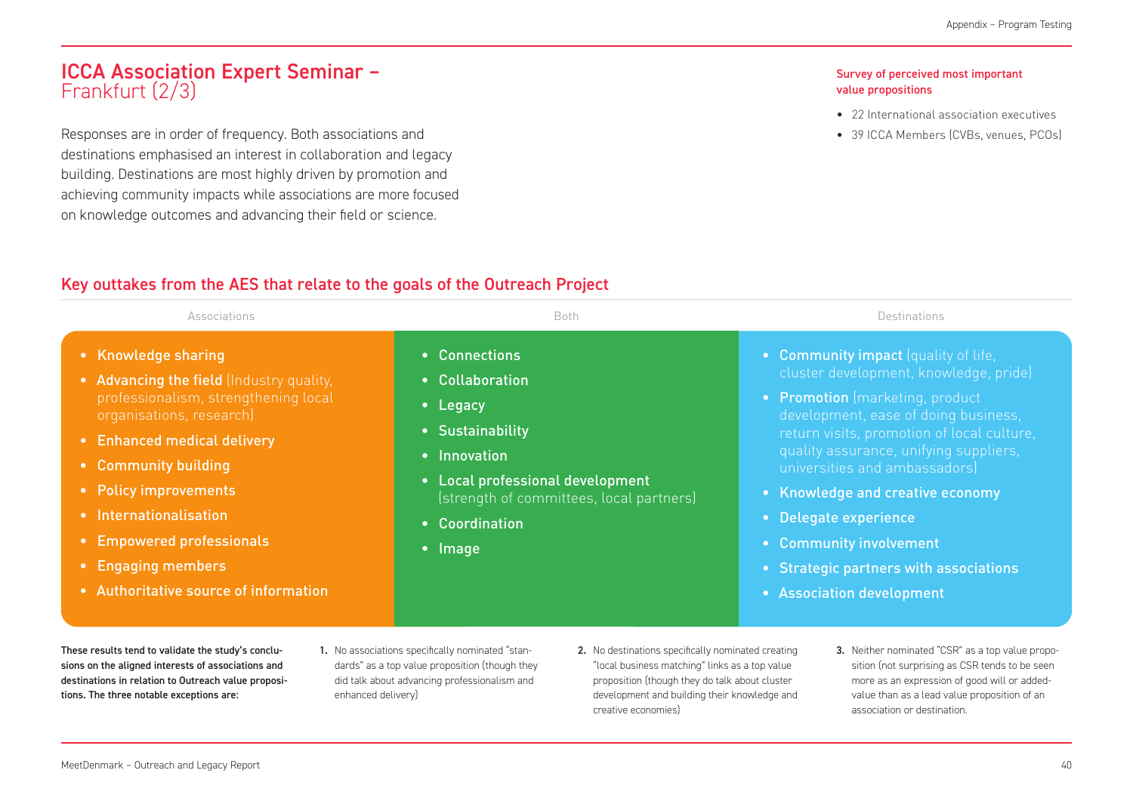### ICCA Association Expert Seminar – Frankfurt (2/3)

Responses are in order of frequency. Both associations and destinations emphasised an interest in collaboration and legacy building. Destinations are most highly driven by promotion and achieving community impacts while associations are more focused on knowledge outcomes and advancing their field or science.

#### Survey of perceived most important value propositions

- 22 International association executives
- 39 ICCA Members (CVBs, venues, PCOs)

### Key outtakes from the AES that relate to the goals of the Outreach Project

| Associations                                                                                                                                                                                                                                                                                                                                                                                    | <b>Both</b>                                                                                                                                                                                           | Destinations                                                                                                                                                                                                                                                                                                                                                                                                                                      |
|-------------------------------------------------------------------------------------------------------------------------------------------------------------------------------------------------------------------------------------------------------------------------------------------------------------------------------------------------------------------------------------------------|-------------------------------------------------------------------------------------------------------------------------------------------------------------------------------------------------------|---------------------------------------------------------------------------------------------------------------------------------------------------------------------------------------------------------------------------------------------------------------------------------------------------------------------------------------------------------------------------------------------------------------------------------------------------|
| • Knowledge sharing<br>• Advancing the field (Industry quality,<br>professionalism, strengthening local<br>organisations, research)<br><b>Enhanced medical delivery</b><br>$\bullet$<br>• Community building<br>• Policy improvements<br>• Internationalisation<br><b>Empowered professionals</b><br>$\bullet$<br><b>Engaging members</b><br>$\bullet$<br>• Authoritative source of information | • Connections<br>• Collaboration<br>• Legacy<br>• Sustainability<br>• Innovation<br>• Local professional development<br>(strength of committees, local partners)<br>• Coordination<br>$\bullet$ Image | • Community impact (quality of life,<br>cluster development, knowledge, pride)<br>• Promotion (marketing, product<br>development, ease of doing business,<br>return visits, promotion of local culture,<br>quality assurance, unifying suppliers,<br>universities and ambassadors)<br>• Knowledge and creative economy<br>• Delegate experience<br>• Community involvement<br>• Strategic partners with associations<br>• Association development |

sions on the aligned interests of associations and destinations in relation to Outreach value propositions. The three notable exceptions are:

- dards" as a top value proposition (though they did talk about advancing professionalism and enhanced delivery)
- "local business matching" links as a top value proposition (though they do talk about cluster development and building their knowledge and creative economies)
- sition (not surprising as CSR tends to be seen more as an expression of good will or addedvalue than as a lead value proposition of an association or destination.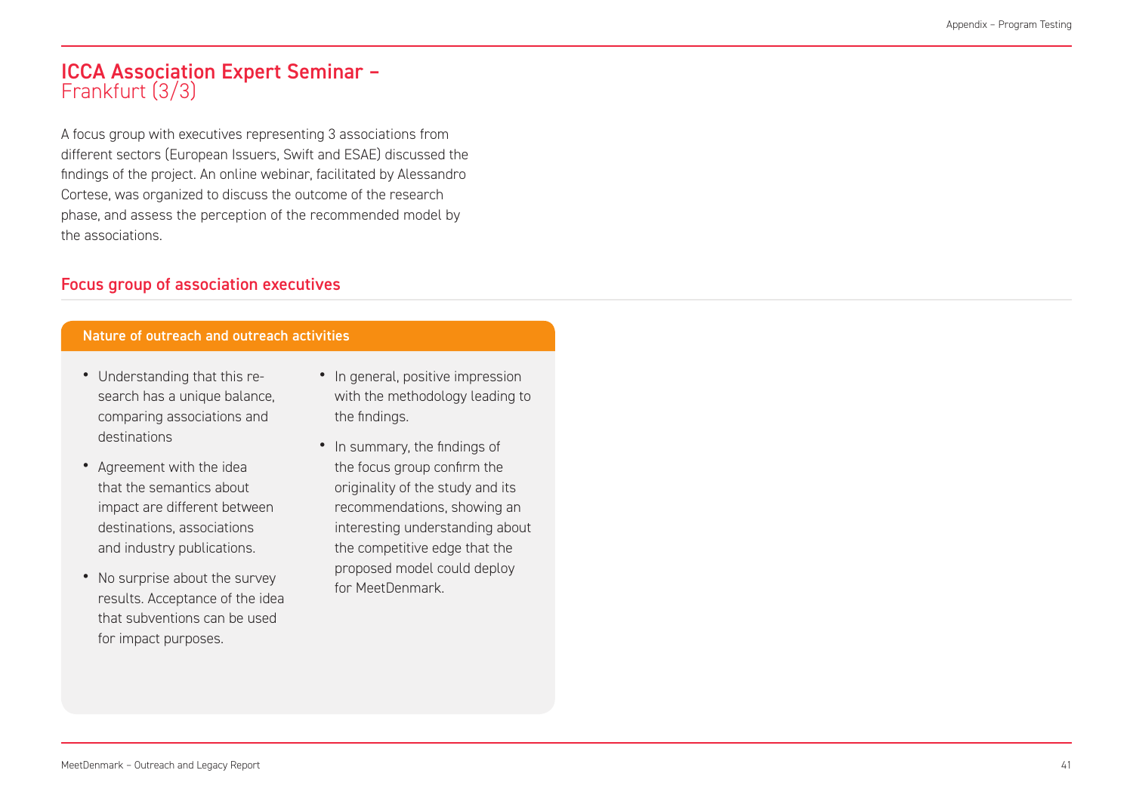### ICCA Association Expert Seminar – Frankfurt (3/3)

A focus group with executives representing 3 associations from different sectors (European Issuers, Swift and ESAE) discussed the findings of the project. An online webinar, facilitated by Alessandro Cortese, was organized to discuss the outcome of the research phase, and assess the perception of the recommended model by the associations.

### Focus group of association executives

#### Nature of outreach and outreach activities

- Understanding that this research has a unique balance, comparing associations and destinations
- Agreement with the idea that the semantics about impact are different between destinations, associations and industry publications.
- No surprise about the survey results. Acceptance of the idea that subventions can be used for impact purposes.
- In general, positive impression with the methodology leading to the findings.
- In summary, the findings of the focus group confirm the originality of the study and its recommendations, showing an interesting understanding about the competitive edge that the proposed model could deploy for MeetDenmark.